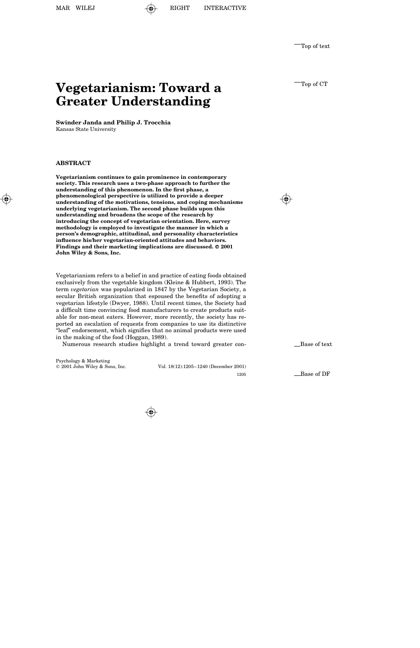# **Vegetarianism: Toward a Greater Understanding**

**Swinder Janda and Philip J. Trocchia** Kansas State University

#### **ABSTRACT**

**Vegetarianism continues to gain prominence in contemporary society. This research uses a two-phase approach to further the understanding of this phenomenon. In the first phase, a phenomenological perspective is utilized to provide a deeper understanding of the motivations, tensions, and coping mechanisms underlying vegetarianism. The second phase builds upon this understanding and broadens the scope of the research by introducing the concept of vegetarian orientation. Here, survey methodology is employed to investigate the manner in which a person's demographic, attitudinal, and personality characteristics influence his/her vegetarian-oriented attitudes and behaviors. Findings and their marketing implications are discussed. 2001 John Wiley & Sons, Inc.**

Vegetarianism refers to a belief in and practice of eating foods obtained exclusively from the vegetable kingdom (Kleine & Hubbert, 1993). The term *vegetarian* was popularized in 1847 by the Vegetarian Society, a secular British organization that espoused the benefits of adopting a vegetarian lifestyle (Dwyer, 1988). Until recent times, the Society had a difficult time convincing food manufacturers to create products suitable for non-meat eaters. However, more recently, the society has reported an escalation of requests from companies to use its distinctive "leaf" endorsement, which signifies that no animal products were used in the making of the food (Hoggan, 1989).

Numerous research studies highlight a trend toward greater con-

Psychology & Marketing

2001 John Wiley & Sons, Inc. Vol. 18(12):1205–1240 (December 2001)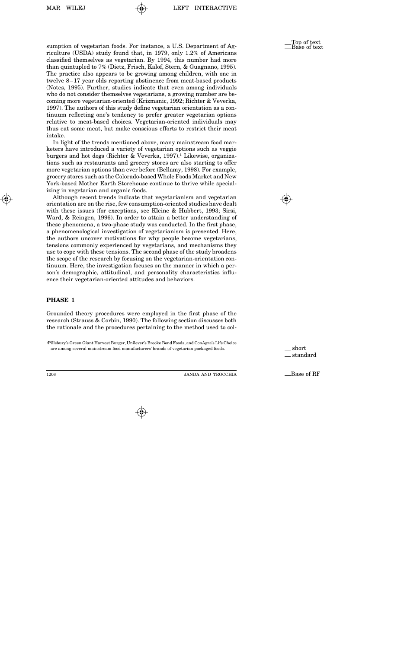sumption of vegetarian foods. For instance, a U.S. Department of Agriculture (USDA) study found that, in 1979, only 1.2% of Americans classified themselves as vegetarian. By 1994, this number had more than quintupled to 7% (Dietz, Frisch, Kalof, Stern, & Guagnano, 1995). The practice also appears to be growing among children, with one in twelve 8–17 year olds reporting abstinence from meat-based products (Notes, 1995). Further, studies indicate that even among individuals who do not consider themselves vegetarians, a growing number are becoming more vegetarian-oriented (Krizmanic, 1992; Richter & Veverka, 1997). The authors of this study define vegetarian orientation as a continuum reflecting one's tendency to prefer greater vegetarian options relative to meat-based choices. Vegetarian-oriented individuals may thus eat some meat, but make conscious efforts to restrict their meat intake.

In light of the trends mentioned above, many mainstream food marketers have introduced a variety of vegetarian options such as veggie burgers and hot dogs (Richter & Veverka, 1997).<sup>1</sup> Likewise, organizations such as restaurants and grocery stores are also starting to offer more vegetarian options than ever before (Bellamy, 1998). For example, grocery stores such as the Colorado-based Whole Foods Market and New York-based Mother Earth Storehouse continue to thrive while specializing in vegetarian and organic foods.

Although recent trends indicate that vegetarianism and vegetarian orientation are on the rise, few consumption-oriented studies have dealt with these issues (for exceptions, see Kleine & Hubbert, 1993; Sirsi, Ward, & Reingen, 1996). In order to attain a better understanding of these phenomena, a two-phase study was conducted. In the first phase, a phenomenological investigation of vegetarianism is presented. Here, the authors uncover motivations for why people become vegetarians, tensions commonly experienced by vegetarians, and mechanisms they use to cope with these tensions. The second phase of the study broadens the scope of the research by focusing on the vegetarian-orientation continuum. Here, the investigation focuses on the manner in which a person's demographic, attitudinal, and personality characteristics influence their vegetarian-oriented attitudes and behaviors.

#### **PHASE 1**

Grounded theory procedures were employed in the first phase of the research (Strauss & Corbin, 1990). The following section discusses both the rationale and the procedures pertaining to the method used to col-

<sup>1</sup>Pillsbury's Green Giant Harvest Burger, Unilever's Brooke Bond Foods, and ConAgra's Life Choice are among several mainstream food manufacturers' brands of vegetarian packaged foods.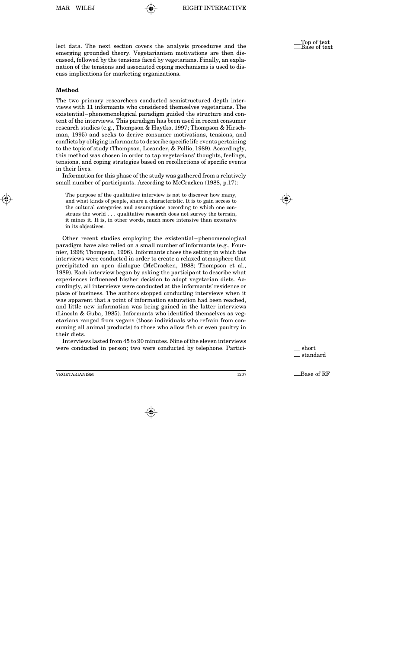lect data. The next section covers the analysis procedures and the emerging grounded theory. Vegetarianism motivations are then discussed, followed by the tensions faced by vegetarians. Finally, an explanation of the tensions and associated coping mechanisms is used to discuss implications for marketing organizations.

# **Method**

The two primary researchers conducted semistructured depth interviews with 11 informants who considered themselves vegetarians. The existential–phenomenological paradigm guided the structure and content of the interviews. This paradigm has been used in recent consumer research studies (e.g., Thompson & Haytko, 1997; Thompson & Hirschman, 1995) and seeks to derive consumer motivations, tensions, and conflicts by obliging informants to describe specific life events pertaining to the topic of study (Thompson, Locander, & Pollio, 1989). Accordingly, this method was chosen in order to tap vegetarians' thoughts, feelings, tensions, and coping strategies based on recollections of specific events in their lives.

Information for this phase of the study was gathered from a relatively small number of participants. According to McCracken (1988, p.17):

The purpose of the qualitative interview is not to discover how many, and what kinds of people, share a characteristic. It is to gain access to the cultural categories and assumptions according to which one construes the world . . . qualitative research does not survey the terrain, it mines it. It is, in other words, much more intensive than extensive in its objectives.

Other recent studies employing the existential–phenomenological paradigm have also relied on a small number of informants (e.g., Fournier, 1998; Thompson, 1996). Informants chose the settingin which the interviews were conducted in order to create a relaxed atmosphere that precipitated an open dialogue (McCracken, 1988; Thompson et al., 1989). Each interview began by asking the participant to describe what experiences influenced his/her decision to adopt vegetarian diets. Accordingly, all interviews were conducted at the informants' residence or place of business. The authors stopped conducting interviews when it was apparent that a point of information saturation had been reached, and little new information was being gained in the latter interviews (Lincoln & Guba, 1985). Informants who identified themselves as vegetarians ranged from vegans (those individuals who refrain from consumingall animal products) to those who allow fish or even poultry in their diets.

Interviews lasted from 45 to 90 minutes. Nine of the eleven interviews were conducted in person; two were conducted by telephone. Partici-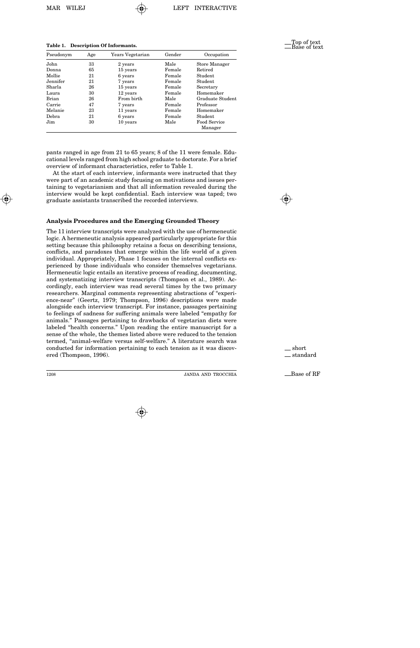| Pseudonym | Age | Years Vegetarian | Gender | Occupation       |
|-----------|-----|------------------|--------|------------------|
| John      | 33  | 2 years          | Male   | Store Manager    |
| Donna     | 65  | 15 years         | Female | Retired          |
| Mollie    | 21  | 6 years          | Female | Student          |
| Jennifer  | 21  | 7 years          | Female | Student          |
| Sharla    | 26  | 15 years         | Female | Secretary        |
| Laura     | 30  | 12 years         | Female | Homemaker        |
| Brian     | 26  | From birth       | Male   | Graduate Student |
| Carrie    | 47  | 7 years          | Female | Professor        |
| Melanie   | 23  | 11 years         | Female | Homemaker        |
| Debra     | 21  | 6 years          | Female | Student          |
| Jim       | 30  | 10 years         | Male   | Food Service     |
|           |     |                  |        | Manager          |

**Table 1. Description Of Informants.**

pants ranged in age from 21 to 65 years; 8 of the 11 were female. Educational levels ranged from high school graduate to doctorate. For a brief overview of informant characteristics, refer to Table 1.

At the start of each interview, informants were instructed that they were part of an academic study focusing on motivations and issues pertaining to vegetarianism and that all information revealed during the interview would be kept confidential. Each interview was taped; two graduate assistants transcribed the recorded interviews.

# **Analysis Procedures and the Emerging Grounded Theory**

The 11 interview transcripts were analyzed with the use of hermeneutic logic. A hermeneutic analysis appeared particularly appropriate for this setting because this philosophy retains a focus on describing tensions, conflicts, and paradoxes that emerge within the life world of a given individual. Appropriately, Phase 1 focuses on the internal conflicts experienced by those individuals who consider themselves vegetarians. Hermeneutic logic entails an iterative process of reading, documenting, and systematizing interview transcripts (Thompson et al., 1989). Accordingly, each interview was read several times by the two primary researchers. Marginal comments representing abstractions of "experience-near" (Geertz, 1979; Thompson, 1996) descriptions were made alongside each interview transcript. For instance, passages pertaining to feelings of sadness for suffering animals were labeled "empathy for animals." Passages pertaining to drawbacks of vegetarian diets were labeled "health concerns." Upon reading the entire manuscript for a sense of the whole, the themes listed above were reduced to the tension termed, "animal-welfare versus self-welfare." A literature search was conducted for information pertaining to each tension as it was discovered (Thompson, 1996).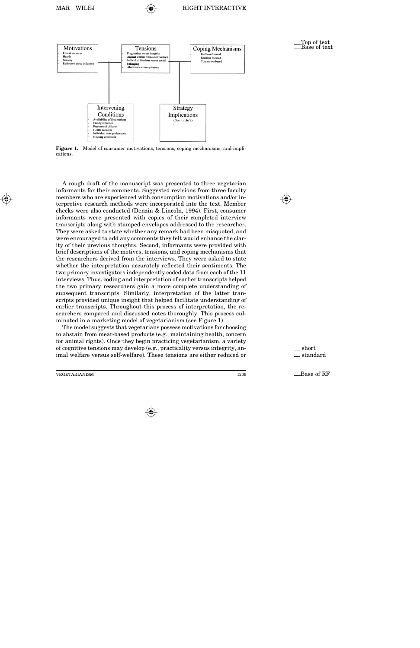

**Figure 1.** Model of consumer motivations, tensions, coping mechanisms, and implications.

A rough draft of the manuscript was presented to three vegetarian informants for their comments. Suggested revisions from three faculty members who are experienced with consumption motivations and/or interpretive research methods were incorporated into the text. Member checks were also conducted (Denzin & Lincoln, 1994). First, consumer informants were presented with copies of their completed interview transcripts along with stamped envelopes addressed to the researcher. They were asked to state whether any remark had been misquoted, and were encouraged to add any comments they felt would enhance the clarity of their previous thoughts. Second, informants were provided with brief descriptions of the motives, tensions, and coping mechanisms that the researchers derived from the interviews. They were asked to state whether the interpretation accurately reflected their sentiments. The two primary investigators independently coded data from each of the 11 interviews. Thus, codingand interpretation of earlier transcripts helped the two primary researchers gain a more complete understanding of subsequent transcripts. Similarly, interpretation of the latter transcripts provided unique insight that helped facilitate understanding of earlier transcripts. Throughout this process of interpretation, the researchers compared and discussed notes thoroughly. This process culminated in a marketing model of vegetarianism (see Figure 1).

The model suggests that vegetarians possess motivations for choosing to abstain from meat-based products (e.g., maintaining health, concern for animal rights). Once they begin practicing vegetarianism, a variety of cognitive tensions may develop (e.g., practicality versus integrity, animal welfare versus self-welfare). These tensions are either reduced or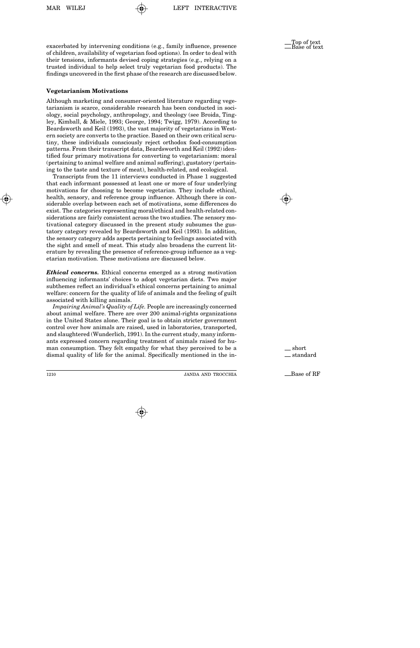exacerbated by intervening conditions (e.g., family influence, presence of children, availability of vegetarian food options). In order to deal with their tensions, informants devised coping strategies (e.g., relying on a trusted individual to help select truly vegetarian food products). The findings uncovered in the first phase of the research are discussed below.

## **Vegetarianism Motivations**

Although marketing and consumer-oriented literature regarding vegetarianism is scarce, considerable research has been conducted in sociology, social psychology, anthropology, and theology (see Broida, Tingley, Kimball, & Miele, 1993; George, 1994; Twigg, 1979). According to Beardsworth and Keil (1993), the vast majority of vegetarians in Western society are converts to the practice. Based on their own critical scrutiny, these individuals consciously reject orthodox food-consumption patterns. From their transcript data, Beardsworth and Keil (1992) identified four primary motivations for converting to vegetarianism: moral (pertaining to animal welfare and animal suffering), gustatory (pertaining to the taste and texture of meat), health-related, and ecological.

Transcripts from the 11 interviews conducted in Phase 1 suggested that each informant possessed at least one or more of four underlying motivations for choosing to become vegetarian. They include ethical, health, sensory, and reference group influence. Although there is considerable overlap between each set of motivations, some differences do exist. The categories representing moral/ethical and health-related considerations are fairly consistent across the two studies. The sensory motivational category discussed in the present study subsumes the gustatory category revealed by Beardsworth and Keil (1993). In addition, the sensory category adds aspects pertaining to feelings associated with the sight and smell of meat. This study also broadens the current literature by revealing the presence of reference-group influence as a vegetarian motivation. These motivations are discussed below.

*Ethical concerns.* Ethical concerns emerged as a strong motivation influencing informants' choices to adopt vegetarian diets. Two major subthemes reflect an individual's ethical concerns pertaining to animal welfare: concern for the quality of life of animals and the feeling of guilt associated with killing animals.

*Impairing Animal's Quality of Life.* People are increasingly concerned about animal welfare. There are over 200 animal-rights organizations in the United States alone. Their goal is to obtain stricter government control over how animals are raised, used in laboratories, transported, and slaughtered (Wunderlich, 1991). In the current study, many informants expressed concern regarding treatment of animals raised for human consumption. They felt empathy for what they perceived to be a dismal quality of life for the animal. Specifically mentioned in the in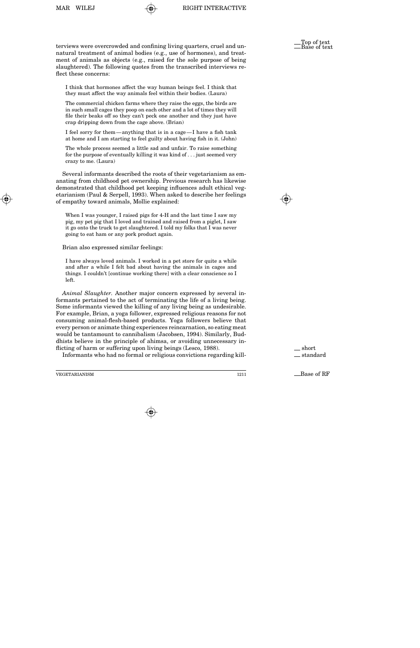terviews were overcrowded and confining living quarters, cruel and unnatural treatment of animal bodies (e.g., use of hormones), and treatment of animals as objects (e.g., raised for the sole purpose of being slaughtered). The following quotes from the transcribed interviews reflect these concerns:

I think that hormones affect the way human beings feel. I think that they must affect the way animals feel within their bodies. (Laura)

The commercial chicken farms where they raise the eggs, the birds are in such small cages they poop on each other and a lot of times they will file their beaks off so they can't peck one another and they just have crap dripping down from the cage above. (Brian)

I feel sorry for them—anything that is in a cage—I have a fish tank at home and I am starting to feel guilty about having fish in it. (John)

The whole process seemed a little sad and unfair. To raise something for the purpose of eventually killing it was kind of  $\ldots$  just seemed very crazy to me. (Laura)

Several informants described the roots of their vegetarianism as emanating from childhood pet ownership. Previous research has likewise demonstrated that childhood pet keeping influences adult ethical vegetarianism (Paul & Serpell, 1993). When asked to describe her feelings of empathy toward animals, Mollie explained:

When I was younger, I raised pigs for 4-H and the last time I saw my pig, my pet pig that I loved and trained and raised from a piglet, I saw it go onto the truck to get slaughtered. I told my folks that I was never going to eat ham or any pork product again.

Brian also expressed similar feelings:

I have always loved animals. I worked in a pet store for quite a while and after a while I felt bad about having the animals in cages and things. I couldn't [continue working there] with a clear conscience so I left.

*Animal Slaughter.* Another major concern expressed by several informants pertained to the act of terminating the life of a living being. Some informants viewed the killing of any living being as undesirable. For example, Brian, a yoga follower, expressed religious reasons for not consuming animal-flesh-based products. Yoga followers believe that every person or animate thingexperiences reincarnation, so eatingmeat would be tantamount to cannibalism (Jacobsen, 1994). Similarly, Buddhists believe in the principle of ahimsa, or avoiding unnecessary inflicting of harm or suffering upon living beings (Lesco, 1988).

Informants who had no formal or religious convictions regarding kill-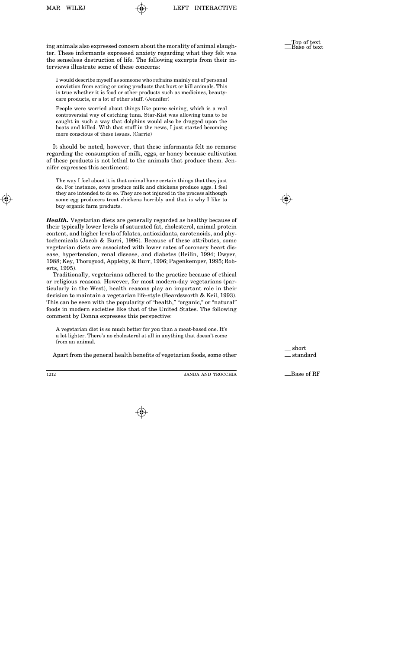ing animals also expressed concern about the morality of animal slaughter. These informants expressed anxiety regarding what they felt was the senseless destruction of life. The following excerpts from their interviews illustrate some of these concerns:

I would describe myself as someone who refrains mainly out of personal conviction from eating or using products that hurt or kill animals. This is true whether it is food or other products such as medicines, beautycare products, or a lot of other stuff. (Jennifer)

People were worried about things like purse seining, which is a real controversial way of catching tuna. Star-Kist was allowing tuna to be caught in such a way that dolphins would also be dragged upon the boats and killed. With that stuff in the news, I just started becoming more conscious of these issues. (Carrie)

It should be noted, however, that these informants felt no remorse regarding the consumption of milk, eggs, or honey because cultivation of these products is not lethal to the animals that produce them. Jennifer expresses this sentiment:

The way I feel about it is that animal have certain things that they just do. For instance, cows produce milk and chickens produce eggs. I feel they are intended to do so. They are not injured in the process although some egg producers treat chickens horribly and that is why I like to buy organic farm products.

*Health.* Vegetarian diets are generally regarded as healthy because of their typically lower levels of saturated fat, cholesterol, animal protein content, and higher levels of folates, antioxidants, carotenoids, and phytochemicals (Jacob & Burri, 1996). Because of these attributes, some vegetarian diets are associated with lower rates of coronary heart disease, hypertension, renal disease, and diabetes (Beilin, 1994; Dwyer, 1988; Key, Thorogood, Appleby, & Burr, 1996; Pagenkemper, 1995; Roberts, 1995).

Traditionally, vegetarians adhered to the practice because of ethical or religious reasons. However, for most modern-day vegetarians (particularly in the West), health reasons play an important role in their decision to maintain a vegetarian life-style (Beardsworth & Keil, 1993). This can be seen with the popularity of "health," "organic," or "natural" foods in modern societies like that of the United States. The following comment by Donna expresses this perspective:

A vegetarian diet is so much better for you than a meat-based one. It's a lot lighter. There's no cholesterol at all in anything that doesn't come from an animal.

Apart from the general health benefits of vegetarian foods, some other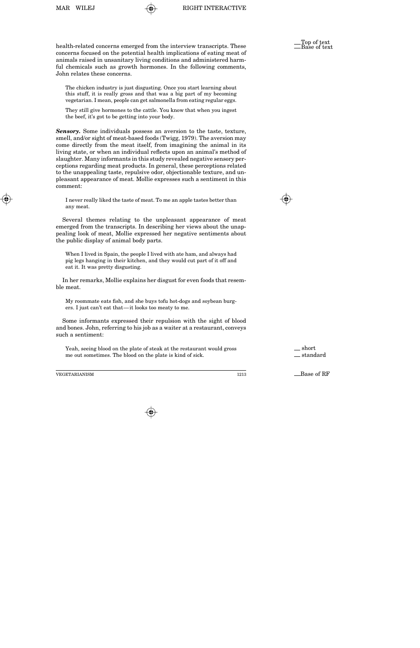health-related concerns emerged from the interview transcripts. These concerns focused on the potential health implications of eating meat of animals raised in unsanitary living conditions and administered harmful chemicals such as growth hormones. In the following comments, John relates these concerns.

The chicken industry is just disgusting. Once you start learning about this stuff, it is really gross and that was a big part of my becoming vegetarian. I mean, people can get salmonella from eating regular eggs.

They still give hormones to the cattle. You know that when you ingest the beef, it's got to be getting into your body.

*Sensory.* Some individuals possess an aversion to the taste, texture, smell, and/or sight of meat-based foods (Twigg, 1979). The aversion may come directly from the meat itself, from imagining the animal in its living state, or when an individual reflects upon an animal's method of slaughter. Many informants in this study revealed negative sensory perceptions regarding meat products. In general, these perceptions related to the unappealing taste, repulsive odor, objectionable texture, and unpleasant appearance of meat. Mollie expresses such a sentiment in this comment:

I never really liked the taste of meat. To me an apple tastes better than any meat.

Several themes relating to the unpleasant appearance of meat emerged from the transcripts. In describing her views about the unappealing look of meat, Mollie expressed her negative sentiments about the public display of animal body parts.

When I lived in Spain, the people I lived with ate ham, and always had pig legs hanging in their kitchen, and they would cut part of it off and eat it. It was pretty disgusting.

In her remarks, Mollie explains her disgust for even foods that resemble meat.

My roommate eats fish, and she buys tofu hot-dogs and soybean burgers. I just can't eat that— it looks too meaty to me.

Some informants expressed their repulsion with the sight of blood and bones. John, referring to his job as a waiter at a restaurant, conveys such a sentiment:

Yeah, seeing blood on the plate of steak at the restaurant would gross me out sometimes. The blood on the plate is kind of sick.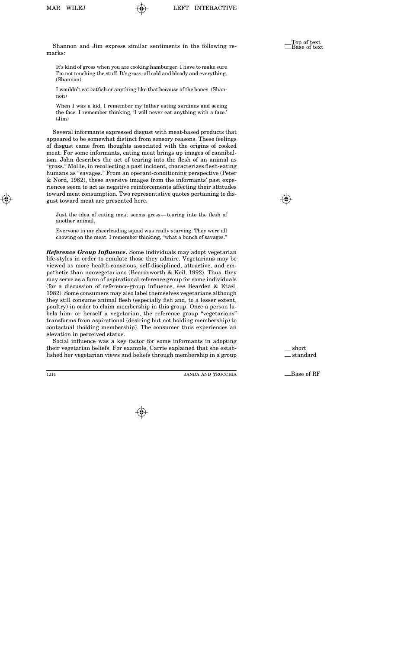Shannon and Jim express similar sentiments in the following remarks:

It's kind of gross when you are cooking hamburger. I have to make sure I'm not touching the stuff. It's gross, all cold and bloody and everything. (Shannon)

I wouldn't eat catfish or anything like that because of the bones. (Shannon)

When I was a kid, I remember my father eating sardines and seeing the face. I remember thinking, 'I will never eat anything with a face.'  $(Jim)$ 

Several informants expressed disgust with meat-based products that appeared to be somewhat distinct from sensory reasons. These feelings of disgust came from thoughts associated with the origins of cooked meat. For some informants, eating meat brings up images of cannibalism. John describes the act of tearing into the flesh of an animal as "gross." Mollie, in recollecting a past incident, characterizes flesh-eating humans as "savages." From an operant-conditioning perspective (Peter & Nord, 1982), these aversive images from the informants' past experiences seem to act as negative reinforcements affecting their attitudes toward meat consumption. Two representative quotes pertaining to disgust toward meat are presented here.

Just the idea of eating meat seems gross—tearing into the flesh of another animal.

Everyone in my cheerleading squad was really starving. They were all chowing on the meat. I remember thinking, "what a bunch of savages."

*Reference Group Influence.* Some individuals may adopt vegetarian life-styles in order to emulate those they admire. Vegetarians may be viewed as more health-conscious, self-disciplined, attractive, and empathetic than nonvegetarians (Beardsworth & Keil, 1992). Thus, they may serve as a form of aspirational reference group for some individuals (for a discussion of reference-group influence, see Bearden & Etzel, 1982). Some consumers may also label themselves vegetarians although they still consume animal flesh (especially fish and, to a lesser extent, poultry) in order to claim membership in this group. Once a person labels him- or herself a vegetarian, the reference group "vegetarians" transforms from aspirational (desiring but not holding membership) to contactual (holding membership). The consumer thus experiences an elevation in perceived status.

Social influence was a key factor for some informants in adopting their vegetarian beliefs. For example, Carrie explained that she established her vegetarian views and beliefs through membership in a group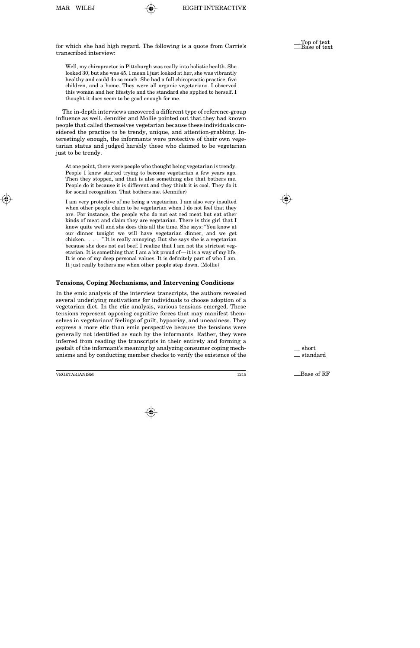for which she had high regard. The following is a quote from Carrie's transcribed interview:

Well, my chiropractor in Pittsburgh was really into holistic health. She looked 30, but she was 45. I mean I just looked at her, she was vibrantly healthy and could do so much. She had a full chiropractic practice, five children, and a home. They were all organic vegetarians. I observed this woman and her lifestyle and the standard she applied to herself. I thought it does seem to be good enough for me.

The in-depth interviews uncovered a different type of reference-group influence as well. Jennifer and Mollie pointed out that they had known people that called themselves vegetarian because these individuals considered the practice to be trendy, unique, and attention-grabbing. Interestingly enough, the informants were protective of their own vegetarian status and judged harshly those who claimed to be vegetarian just to be trendy.

At one point, there were people who thought being vegetarian is trendy. People I knew started trying to become vegetarian a few years ago. Then they stopped, and that is also something else that bothers me. People do it because it is different and they think it is cool. They do it for social recognition. That bothers me. (Jennifer)

I am very protective of me beinga vegetarian. I am also very insulted when other people claim to be vegetarian when I do not feel that they are. For instance, the people who do not eat red meat but eat other kinds of meat and claim they are vegetarian. There is this girl that I know quite well and she does this all the time. She says: "You know at our dinner tonight we will have vegetarian dinner, and we get chicken. . . . " It is really annoying. But she says she is a vegetarian because she does not eat beef. I realize that I am not the strictest vegetarian. It is something that I am a bit proud of—it is a way of my life. It is one of my deep personal values. It is definitely part of who I am. It just really bothers me when other people step down. (Mollie)

## **Tensions, Coping Mechanisms, and Intervening Conditions**

In the emic analysis of the interview transcripts, the authors revealed several underlying motivations for individuals to choose adoption of a vegetarian diet. In the etic analysis, various tensions emerged. These tensions represent opposing cognitive forces that may manifest themselves in vegetarians' feelings of guilt, hypocrisy, and uneasiness. They express a more etic than emic perspective because the tensions were generally not identified as such by the informants. Rather, they were inferred from reading the transcripts in their entirety and forming a gestalt of the informant's meaning by analyzing consumer coping mechanisms and by conducting member checks to verify the existence of the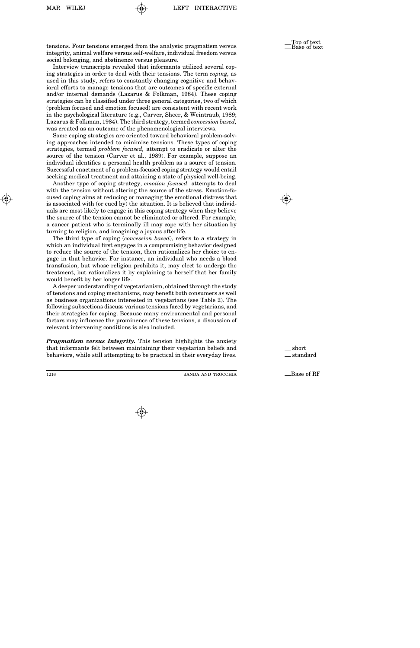tensions. Four tensions emerged from the analysis: pragmatism versus integrity, animal welfare versus self-welfare, individual freedom versus social belonging, and abstinence versus pleasure.

Interview transcripts revealed that informants utilized several coping strategies in order to deal with their tensions. The term *coping*, as used in this study, refers to constantly changing cognitive and behavioral efforts to manage tensions that are outcomes of specific external and/or internal demands (Lazarus & Folkman, 1984). These coping strategies can be classified under three general categories, two of which (problem focused and emotion focused) are consistent with recent work in the psychological literature (e.g., Carver, Sheer, & Weintraub, 1989; Lazarus & Folkman, 1984). The third strategy, termed *concession based,* was created as an outcome of the phenomenological interviews.

Some coping strategies are oriented toward behavioral problem-solving approaches intended to minimize tensions. These types of coping strategies, termed *problem focused,* attempt to eradicate or alter the source of the tension (Carver et al., 1989). For example, suppose an individual identifies a personal health problem as a source of tension. Successful enactment of a problem-focused coping strategy would entail seeking medical treatment and attaining a state of physical well-being.

Another type of coping strategy, *emotion focused*, attempts to deal with the tension without altering the source of the stress. Emotion-focused coping aims at reducing or managing the emotional distress that is associated with (or cued by) the situation. It is believed that individuals are most likely to engage in this coping strategy when they believe the source of the tension cannot be eliminated or altered. For example, a cancer patient who is terminally ill may cope with her situation by turning to religion, and imagining a joyous afterlife.

The third type of coping (*concession based*), refers to a strategy in which an individual first engages in a compromising behavior designed to reduce the source of the tension, then rationalizes her choice to engage in that behavior. For instance, an individual who needs a blood transfusion, but whose religion prohibits it, may elect to undergo the treatment, but rationalizes it by explaining to herself that her family would benefit by her longer life.

A deeper understanding of vegetarianism, obtained through the study of tensions and copingmechanisms, may benefit both consumers as well as business organizations interested in vegetarians (see Table 2). The following subsections discuss various tensions faced by vegetarians, and their strategies for coping. Because many environmental and personal factors may influence the prominence of these tensions, a discussion of relevant intervening conditions is also included.

*Pragmatism versus Integrity.* This tension highlights the anxiety that informants felt between maintaining their vegetarian beliefs and behaviors, while still attempting to be practical in their everyday lives.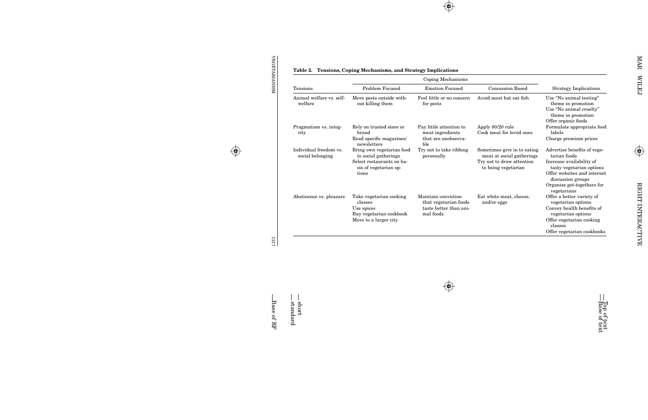| Tensions                                   | Problem Focused                                               | <b>Emotion Focused</b>                                                              | <b>Concession Based</b>                                  | <b>Strategy Implications</b>                                                                                          |
|--------------------------------------------|---------------------------------------------------------------|-------------------------------------------------------------------------------------|----------------------------------------------------------|-----------------------------------------------------------------------------------------------------------------------|
| Animal welfare vs. self-<br>welfare        | Move pests outside with-<br>out killing them                  | Feel little or no concern<br>for pests                                              | Avoid meat but eat fish                                  | Use "No animal testing"<br>theme in promotion<br>Use "No animal cruelty"<br>theme in promotion<br>Offer organic foods |
| Pragmatism vs. integ-<br>rity              | Rely on trusted store or<br>brand<br>Read specific magazines/ | Pay little attention to<br>meat ingredients<br>that are unobserva-                  | Apply 80/20 rule<br>Cook meat for loved ones             | Formulate appropriate food<br>labels<br>Charge premium prices                                                         |
|                                            | newsletters                                                   | ble                                                                                 |                                                          |                                                                                                                       |
| Individual freedom vs.<br>social belonging | Bring own vegetarian food<br>to social gatherings             | Try not to take ribbing<br>personally                                               | Sometimes give in to eating<br>meat at social gatherings | Advertise benefits of vege-<br>tarian foods                                                                           |
|                                            | Select restaurants on ba-<br>sis of vegetarian op-            |                                                                                     | Try not to draw attention<br>to being vegetarian         | Increase availability of<br>tasty vegetarian options                                                                  |
|                                            | tions                                                         |                                                                                     |                                                          | Offer websites and internet<br>discussion groups                                                                      |
|                                            |                                                               |                                                                                     |                                                          | Organize get-togethers for<br>vegetarians                                                                             |
| Abstinence vs. pleasure                    | Take vegetarian cooking<br>classes                            | Maintain conviction<br>that vegetarian foods<br>taste better than ani-<br>mal foods | Eat white meat, cheese,<br>and/or eggs                   | Offer a better variety of<br>vegetarian options                                                                       |
|                                            | Use spices                                                    |                                                                                     |                                                          | Convey health benefits of                                                                                             |
|                                            | Buy vegetarian cookbook                                       |                                                                                     |                                                          | vegetarian options                                                                                                    |
|                                            | Move to a larger city                                         |                                                                                     |                                                          | Offer vegetarian cooking<br>classes                                                                                   |
|                                            |                                                               |                                                                                     |                                                          | Offer vegetarian cookbooks                                                                                            |

## **Table 2. Tensions, Coping Mechanisms, and Strategy Implications**

1217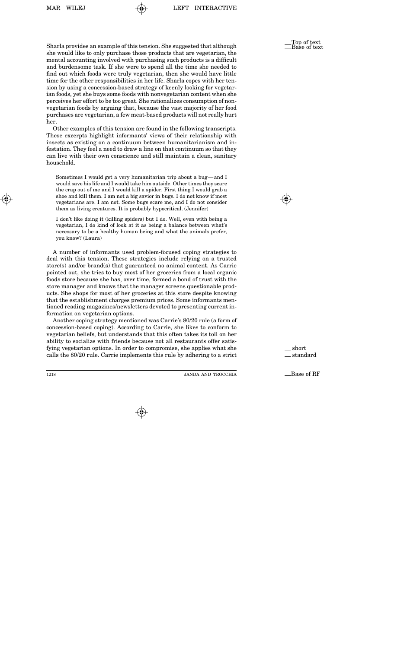Sharla provides an example of this tension. She suggested that although she would like to only purchase those products that are vegetarian, the mental accounting involved with purchasing such products is a difficult and burdensome task. If she were to spend all the time she needed to find out which foods were truly vegetarian, then she would have little time for the other responsibilities in her life. Sharla copes with her tension by using a concession-based strategy of keenly looking for vegetarian foods, yet she buys some foods with nonvegetarian content when she perceives her effort to be too great. She rationalizes consumption of nonvegetarian foods by arguing that, because the vast majority of her food purchases are vegetarian, a few meat-based products will not really hurt her.

Other examples of this tension are found in the following transcripts. These excerpts highlight informants' views of their relationship with insects as existing on a continuum between humanitarianism and infestation. They feel a need to draw a line on that continuum so that they can live with their own conscience and still maintain a clean, sanitary household.

Sometimes I would get a very humanitarian trip about a bug— and I would save his life and I would take him outside. Other times they scare the crap out of me and I would kill a spider. First thing I would grab a shoe and kill them. I am not a big savior in bugs. I do not know if most vegetarians are. I am not. Some bugs scare me, and I do not consider them as living creatures. It is probably hypocritical. (Jennifer)

I don't like doing it (killing spiders) but I do. Well, even with being a vegetarian, I do kind of look at it as being a balance between what's necessary to be a healthy human being and what the animals prefer, you know? (Laura)

A number of informants used problem-focused coping strategies to deal with this tension. These strategies include relying on a trusted store(s) and/or brand(s) that guaranteed no animal content. As Carrie pointed out, she tries to buy most of her groceries from a local organic foods store because she has, over time, formed a bond of trust with the store manager and knows that the manager screens questionable products. She shops for most of her groceries at this store despite knowing that the establishment charges premium prices. Some informants mentioned reading magazines/newsletters devoted to presenting current information on vegetarian options.

Another coping strategy mentioned was Carrie's 80/20 rule (a form of concession-based coping). According to Carrie, she likes to conform to vegetarian beliefs, but understands that this often takes its toll on her ability to socialize with friends because not all restaurants offer satisfying vegetarian options. In order to compromise, she applies what she calls the 80/20 rule. Carrie implements this rule by adhering to a strict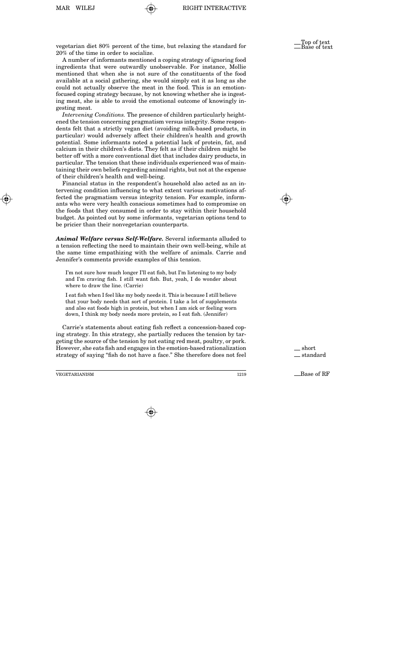vegetarian diet 80% percent of the time, but relaxing the standard for 20% of the time in order to socialize.

A number of informants mentioned a coping strategy of ignoring food ingredients that were outwardly unobservable. For instance, Mollie mentioned that when she is not sure of the constituents of the food available at a social gathering, she would simply eat it as long as she could not actually observe the meat in the food. This is an emotionfocused coping strategy because, by not knowing whether she is ingesting meat, she is able to avoid the emotional outcome of knowingly ingesting meat.

*Intervening Conditions.* The presence of children particularly heightened the tension concerning pragmatism versus integrity. Some respondents felt that a strictly vegan diet (avoiding milk-based products, in particular) would adversely affect their children's health and growth potential. Some informants noted a potential lack of protein, fat, and calcium in their children's diets. They felt as if their children might be better off with a more conventional diet that includes dairy products, in particular. The tension that these individuals experienced was of maintaining their own beliefs regarding animal rights, but not at the expense of their children's health and well-being.

Financial status in the respondent's household also acted as an intervening condition influencing to what extent various motivations affected the pragmatism versus integrity tension. For example, informants who were very health conscious sometimes had to compromise on the foods that they consumed in order to stay within their household budget. As pointed out by some informants, vegetarian options tend to be pricier than their nonvegetarian counterparts.

*Animal Welfare versus Self-Welfare.* Several informants alluded to a tension reflecting the need to maintain their own well-being, while at the same time empathizing with the welfare of animals. Carrie and Jennifer's comments provide examples of this tension.

I'm not sure how much longer I'll eat fish, but I'm listening to my body and I'm craving fish. I still want fish. But, yeah, I do wonder about where to draw the line. (Carrie)

I eat fish when I feel like my body needs it. This is because I still believe that your body needs that sort of protein. I take a lot of supplements and also eat foods high in protein, but when I am sick or feeling worn down, I think my body needs more protein, so I eat fish. (Jennifer)

Carrie's statements about eating fish reflect a concession-based coping strategy. In this strategy, she partially reduces the tension by targeting the source of the tension by not eating red meat, poultry, or pork. However, she eats fish and engages in the emotion-based rationalization strategy of saying "fish do not have a face." She therefore does not feel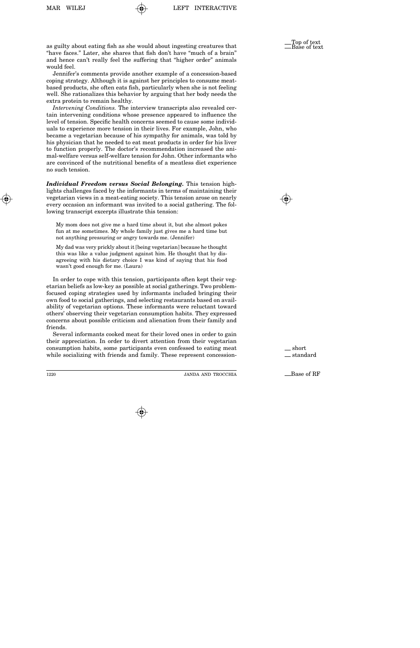as guilty about eating fish as she would about ingesting creatures that "have faces." Later, she shares that fish don't have "much of a brain" and hence can't really feel the suffering that "higher order" animals would feel.

Jennifer's comments provide another example of a concession-based coping strategy. Although it is against her principles to consume meatbased products, she often eats fish, particularly when she is not feeling well. She rationalizes this behavior by arguing that her body needs the extra protein to remain healthy.

*Intervening Conditions.* The interview transcripts also revealed certain intervening conditions whose presence appeared to influence the level of tension. Specific health concerns seemed to cause some individuals to experience more tension in their lives. For example, John, who became a vegetarian because of his sympathy for animals, was told by his physician that he needed to eat meat products in order for his liver to function properly. The doctor's recommendation increased the animal-welfare versus self-welfare tension for John. Other informants who are convinced of the nutritional benefits of a meatless diet experience no such tension.

*Individual Freedom versus Social Belonging.* This tension highlights challenges faced by the informants in terms of maintaining their vegetarian views in a meat-eating society. This tension arose on nearly every occasion an informant was invited to a social gathering. The following transcript excerpts illustrate this tension:

My mom does not give me a hard time about it, but she almost pokes fun at me sometimes. My whole family just gives me a hard time but not anything pressuring or angry towards me. (Jennifer)

My dad was very prickly about it [being vegetarian] because he thought this was like a value judgment against him. He thought that by disagreeing with his dietary choice I was kind of saying that his food wasn't good enough for me. (Laura)

In order to cope with this tension, participants often kept their vegetarian beliefs as low-key as possible at social gatherings. Two problemfocused coping strategies used by informants included bringing their own food to social gatherings, and selecting restaurants based on availability of vegetarian options. These informants were reluctant toward others' observing their vegetarian consumption habits. They expressed concerns about possible criticism and alienation from their family and friends.

Several informants cooked meat for their loved ones in order to gain their appreciation. In order to divert attention from their vegetarian consumption habits, some participants even confessed to eatingmeat while socializing with friends and family. These represent concession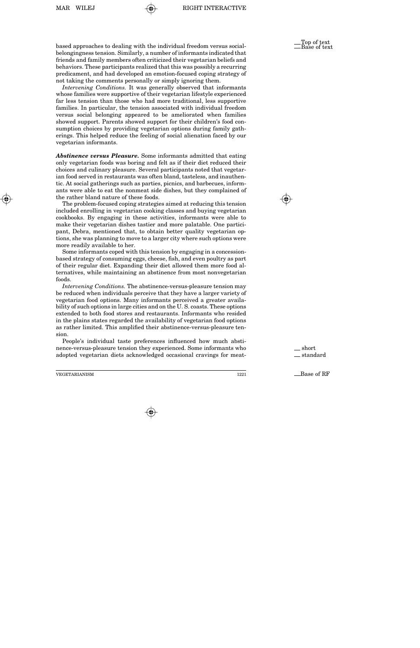based approaches to dealing with the individual freedom versus socialbelongingness tension. Similarly, a number of informants indicated that friends and family members often criticized their vegetarian beliefs and behaviors. These participants realized that this was possibly a recurring predicament, and had developed an emotion-focused coping strategy of not taking the comments personally or simply ignoring them.

*Intervening Conditions.* It was generally observed that informants whose families were supportive of their vegetarian lifestyle experienced far less tension than those who had more traditional, less supportive families. In particular, the tension associated with individual freedom versus social belonging appeared to be ameliorated when families showed support. Parents showed support for their children's food consumption choices by providing vegetarian options during family gatherings. This helped reduce the feeling of social alienation faced by our vegetarian informants.

*Abstinence versus Pleasure.* Some informants admitted that eating only vegetarian foods was boring and felt as if their diet reduced their choices and culinary pleasure. Several participants noted that vegetarian food served in restaurants was often bland, tasteless, and inauthentic. At social gatherings such as parties, picnics, and barbecues, informants were able to eat the nonmeat side dishes, but they complained of the rather bland nature of these foods.

The problem-focused coping strategies aimed at reducing this tension included enrolling in vegetarian cooking classes and buying vegetarian cookbooks. By engaging in these activities, informants were able to make their vegetarian dishes tastier and more palatable. One participant, Debra, mentioned that, to obtain better quality vegetarian options, she was planning to move to a larger city where such options were more readily available to her.

Some informants coped with this tension by engaging in a concessionbased strategy of consuming eggs, cheese, fish, and even poultry as part of their regular diet. Expanding their diet allowed them more food alternatives, while maintainingan abstinence from most nonvegetarian foods.

*Intervening Conditions.* The abstinence-versus-pleasure tension may be reduced when individuals perceive that they have a larger variety of vegetarian food options. Many informants perceived a greater availability of such options in large cities and on the U. S. coasts. These options extended to both food stores and restaurants. Informants who resided in the plains states regarded the availability of vegetarian food options as rather limited. This amplified their abstinence-versus-pleasure tension.

People's individual taste preferences influenced how much abstinence-versus-pleasure tension they experienced. Some informants who adopted vegetarian diets acknowledged occasional cravings for meat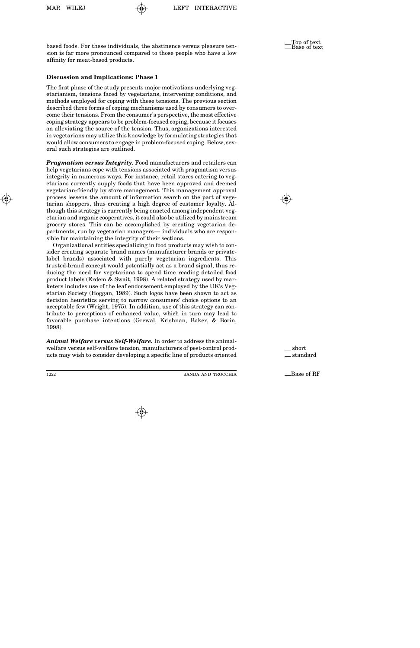based foods. For these individuals, the abstinence versus pleasure tension is far more pronounced compared to those people who have a low affinity for meat-based products.

# **Discussion and Implications: Phase 1**

The first phase of the study presents major motivations underlying vegetarianism, tensions faced by vegetarians, intervening conditions, and methods employed for copingwith these tensions. The previous section described three forms of coping mechanisms used by consumers to overcome their tensions. From the consumer's perspective, the most effective coping strategy appears to be problem-focused coping, because it focuses on alleviating the source of the tension. Thus, organizations interested in vegetarians may utilize this knowledge by formulating strategies that would allow consumers to engage in problem-focused coping. Below, several such strategies are outlined.

*Pragmatism versus Integrity.* Food manufacturers and retailers can help vegetarians cope with tensions associated with pragmatism versus integrity in numerous ways. For instance, retail stores catering to vegetarians currently supply foods that have been approved and deemed vegetarian-friendly by store management. This management approval process lessens the amount of information search on the part of vegetarian shoppers, thus creating a high degree of customer loyalty. Although this strategy is currently being enacted among independent vegetarian and organic cooperatives, it could also be utilized by mainstream grocery stores. This can be accomplished by creating vegetarian departments, run by vegetarian managers— individuals who are responsible for maintaining the integrity of their sections.

Organizational entities specializing in food products may wish to consider creating separate brand names (manufacturer brands or privatelabel brands) associated with purely vegetarian ingredients. This trusted-brand concept would potentially act as a brand signal, thus reducing the need for vegetarians to spend time reading detailed food product labels (Erdem & Swait, 1998). A related strategy used by marketers includes use of the leaf endorsement employed by the UK's Vegetarian Society (Hoggan, 1989). Such logos have been shown to act as decision heuristics serving to narrow consumers' choice options to an acceptable few (Wright, 1975). In addition, use of this strategy can contribute to perceptions of enhanced value, which in turn may lead to favorable purchase intentions (Grewal, Krishnan, Baker, & Borin, 1998).

*Animal Welfare versus Self-Welfare.* In order to address the animalwelfare versus self-welfare tension, manufacturers of pest-control products may wish to consider developinga specific line of products oriented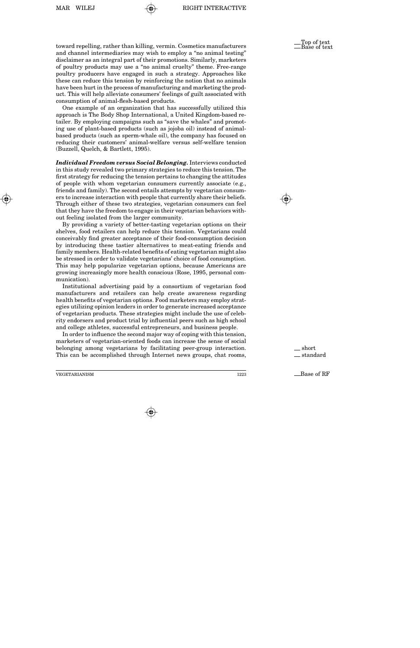toward repelling, rather than killing, vermin. Cosmetics manufacturers and channel intermediaries may wish to employ a "no animal testing" disclaimer as an integral part of their promotions. Similarly, marketers of poultry products may use a "no animal cruelty" theme. Free-range poultry producers have engaged in such a strategy. Approaches like these can reduce this tension by reinforcing the notion that no animals have been hurt in the process of manufacturing and marketing the product. This will help alleviate consumers' feelings of guilt associated with consumption of animal-flesh-based products.

One example of an organization that has successfully utilized this approach is The Body Shop International, a United Kingdom-based retailer. By employing campaigns such as "save the whales" and promoting use of plant-based products (such as jojoba oil) instead of animalbased products (such as sperm-whale oil), the company has focused on reducing their customers' animal-welfare versus self-welfare tension (Buzzell, Quelch, & Bartlett, 1995).

*Individual Freedom versus Social Belonging.* Interviews conducted in this study revealed two primary strategies to reduce this tension. The first strategy for reducing the tension pertains to changing the attitudes of people with whom vegetarian consumers currently associate (e.g., friends and family). The second entails attempts by vegetarian consumers to increase interaction with people that currently share their beliefs. Through either of these two strategies, vegetarian consumers can feel that they have the freedom to engage in their vegetarian behaviors without feeling isolated from the larger community.

By providing a variety of better-tasting vegetarian options on their shelves, food retailers can help reduce this tension. Vegetarians could conceivably find greater acceptance of their food-consumption decision by introducing these tastier alternatives to meat-eating friends and family members. Health-related benefits of eating vegetarian might also be stressed in order to validate vegetarians' choice of food consumption. This may help popularize vegetarian options, because Americans are growing increasingly more health conscious (Rose, 1995, personal communication).

Institutional advertising paid by a consortium of vegetarian food manufacturers and retailers can help create awareness regarding health benefits of vegetarian options. Food marketers may employ strategies utilizing opinion leaders in order to generate increased acceptance of vegetarian products. These strategies might include the use of celebrity endorsers and product trial by influential peers such as high school and college athletes, successful entrepreneurs, and business people.

In order to influence the second major way of coping with this tension, marketers of vegetarian-oriented foods can increase the sense of social belonging among vegetarians by facilitating peer-group interaction. This can be accomplished through Internet news groups, chat rooms,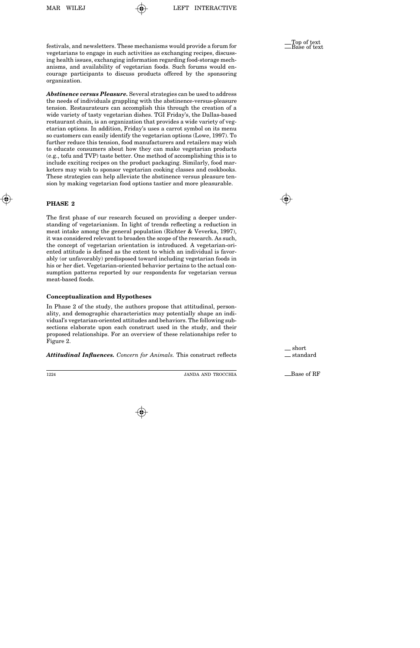festivals, and newsletters. These mechanisms would provide a forum for vegetarians to engage in such activities as exchanging recipes, discussing health issues, exchanging information regarding food-storage mechanisms, and availability of vegetarian foods. Such forums would encourage participants to discuss products offered by the sponsoring organization.

*Abstinence versus Pleasure.* Several strategies can be used to address the needs of individuals grappling with the abstinence-versus-pleasure tension. Restaurateurs can accomplish this through the creation of a wide variety of tasty vegetarian dishes. TGI Friday's, the Dallas-based restaurant chain, is an organization that provides a wide variety of vegetarian options. In addition, Friday's uses a carrot symbol on its menu so customers can easily identify the vegetarian options (Lowe, 1997). To further reduce this tension, food manufacturers and retailers may wish to educate consumers about how they can make vegetarian products (e.g., tofu and TVP) taste better. One method of accomplishing this is to include exciting recipes on the product packaging. Similarly, food marketers may wish to sponsor vegetarian cooking classes and cookbooks. These strategies can help alleviate the abstinence versus pleasure tension by making vegetarian food options tastier and more pleasurable.

# **PHASE 2**

The first phase of our research focused on providing a deeper understanding of vegetarianism. In light of trends reflecting a reduction in meat intake among the general population (Richter & Veverka, 1997), it was considered relevant to broaden the scope of the research. As such, the concept of vegetarian orientation is introduced. A vegetarian-oriented attitude is defined as the extent to which an individual is favorably (or unfavorably) predisposed toward including vegetarian foods in his or her diet. Vegetarian-oriented behavior pertains to the actual consumption patterns reported by our respondents for vegetarian versus meat-based foods.

# **Conceptualization and Hypotheses**

In Phase 2 of the study, the authors propose that attitudinal, personality, and demographic characteristics may potentially shape an individual's vegetarian-oriented attitudes and behaviors. The following subsections elaborate upon each construct used in the study, and their proposed relationships. For an overview of these relationships refer to Figure 2.

*Attitudinal Influences. Concern for Animals.* This construct reflects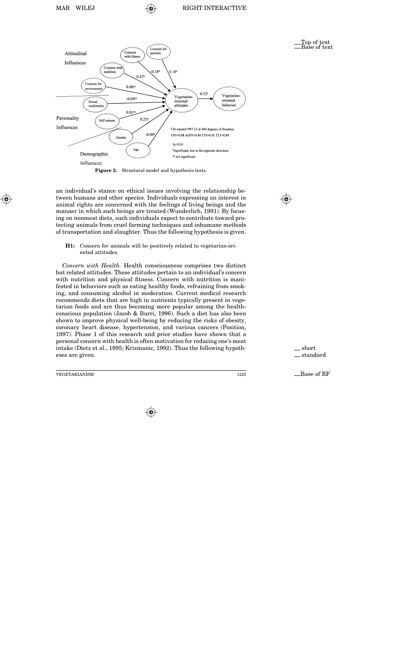

**Figure 2.** Structural model and hypothesis tests.

an individual's stance on ethical issues involving the relationship between humans and other species. Individuals expressingan interest in animal rights are concerned with the feelings of living beings and the manner in which such beings are treated (Wunderlich, 1991). By focusing on nonmeat diets, such individuals expect to contribute toward protecting animals from cruel farming techniques and inhumane methods of transportation and slaughter. Thus the following hypothesis is given.

### **H1:** Concern for animals will be positively related to vegetarian-oriented attitudes.

*Concern with Health.* Health consciousness comprises two distinct but related attitudes. These attitudes pertain to an individual's concern with nutrition and physical fitness. Concern with nutrition is manifested in behaviors such as eating healthy foods, refraining from smoking, and consuming alcohol in moderation. Current medical research recommends diets that are high in nutrients typically present in vegetarian foods and are thus becoming more popular among the healthconscious population (Jacob & Burri, 1996). Such a diet has also been shown to improve physical well-being by reducing the risks of obesity, coronary heart disease, hypertension, and various cancers (Position, 1997). Phase 1 of this research and prior studies have shown that a personal concern with health is often motivation for reducingone's meat intake (Dietz et al., 1995; Krizmanic, 1992). Thus the following hypotheses are given.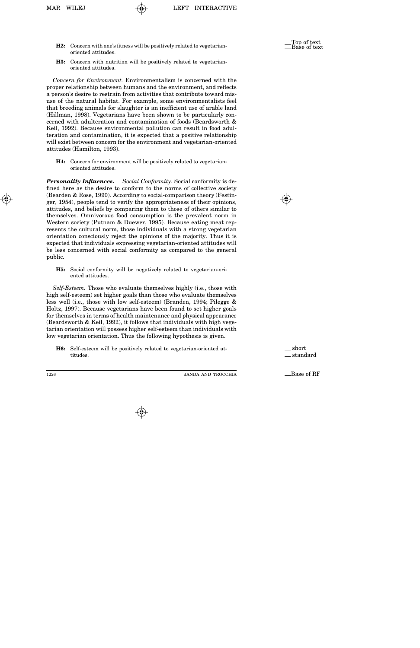- **H2:** Concern with one's fitness will be positively related to vegetarianoriented attitudes.
- **H3:** Concern with nutrition will be positively related to vegetarianoriented attitudes.

*Concern for Environment.* Environmentalism is concerned with the proper relationship between humans and the environment, and reflects a person's desire to restrain from activities that contribute toward misuse of the natural habitat. For example, some environmentalists feel that breeding animals for slaughter is an inefficient use of arable land (Hillman, 1998). Vegetarians have been shown to be particularly concerned with adulteration and contamination of foods (Beardsworth & Keil, 1992). Because environmental pollution can result in food adulteration and contamination, it is expected that a positive relationship will exist between concern for the environment and vegetarian-oriented attitudes (Hamilton, 1993).

**H4:** Concern for environment will be positively related to vegetarianoriented attitudes.

*Personality Influences. Social Conformity.* Social conformity is defined here as the desire to conform to the norms of collective society (Bearden & Rose, 1990). According to social-comparison theory (Festinger, 1954), people tend to verify the appropriateness of their opinions, attitudes, and beliefs by comparingthem to those of others similar to themselves. Omnivorous food consumption is the prevalent norm in Western society (Putnam & Duewer, 1995). Because eating meat represents the cultural norm, those individuals with a strong vegetarian orientation consciously reject the opinions of the majority. Thus it is expected that individuals expressing vegetarian-oriented attitudes will be less concerned with social conformity as compared to the general public.

**H5:** Social conformity will be negatively related to vegetarian-oriented attitudes.

*Self-Esteem.* Those who evaluate themselves highly (i.e., those with high self-esteem) set higher goals than those who evaluate themselves less well (i.e., those with low self-esteem) (Branden, 1994; Pilegge & Holtz, 1997). Because vegetarians have been found to set higher goals for themselves in terms of health maintenance and physical appearance (Beardsworth & Keil, 1992), it follows that individuals with high vegetarian orientation will possess higher self-esteem than individuals with low vegetarian orientation. Thus the following hypothesis is given.

**H6:** Self-esteem will be positively related to vegetarian-oriented attitudes.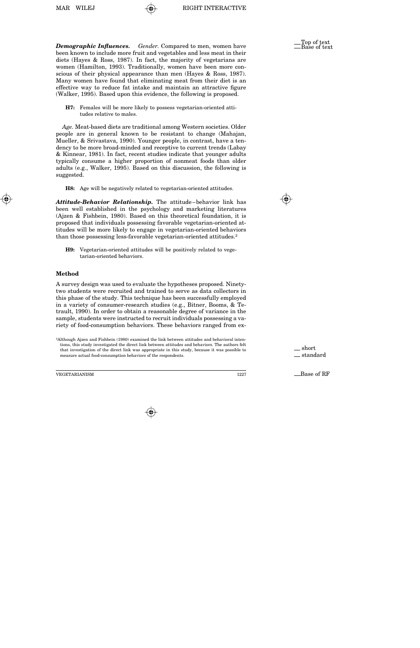*Demographic Influences. Gender.* Compared to men, women have been known to include more fruit and vegetables and less meat in their diets (Hayes & Ross, 1987). In fact, the majority of vegetarians are women (Hamilton, 1993). Traditionally, women have been more conscious of their physical appearance than men (Hayes & Ross, 1987). Many women have found that eliminating meat from their diet is an effective way to reduce fat intake and maintain an attractive figure (Walker, 1995). Based upon this evidence, the following is proposed.

**H7:** Females will be more likely to possess vegetarian-oriented attitudes relative to males.

Age. Meat-based diets are traditional among Western societies. Older people are in general known to be resistant to change (Mahajan, Mueller, & Srivastava, 1990). Younger people, in contrast, have a tendency to be more broad-minded and receptive to current trends (Labay & Kinnear, 1981). In fact, recent studies indicate that younger adults typically consume a higher proportion of nonmeat foods than older adults (e.g., Walker, 1995). Based on this discussion, the following is suggested.

**H8:** Age will be negatively related to vegetarian-oriented attitudes.

*Attitude-Behavior Relationship.* The attitude–behavior link has been well established in the psychology and marketing literatures (Ajzen & Fishbein, 1980). Based on this theoretical foundation, it is proposed that individuals possessing favorable vegetarian-oriented attitudes will be more likely to engage in vegetarian-oriented behaviors than those possessing less-favorable vegetarian-oriented attitudes.<sup>2</sup>

**H9:** Vegetarian-oriented attitudes will be positively related to vegetarian-oriented behaviors.

# **Method**

A survey design was used to evaluate the hypotheses proposed. Ninetytwo students were recruited and trained to serve as data collectors in this phase of the study. This technique has been successfully employed in a variety of consumer-research studies (e.g., Bitner, Booms, & Tetrault, 1990). In order to obtain a reasonable degree of variance in the sample, students were instructed to recruit individuals possessinga variety of food-consumption behaviors. These behaviors ranged from ex-

<sup>2</sup>Although Ajzen and Fishbein (1980) examined the link between attitudes and behavioral intentions, this study investigated the direct link between attitudes and behaviors. The authors felt that investigation of the direct link was appropriate in this study, because it was possible to measure actual food-consumption behaviors of the respondents.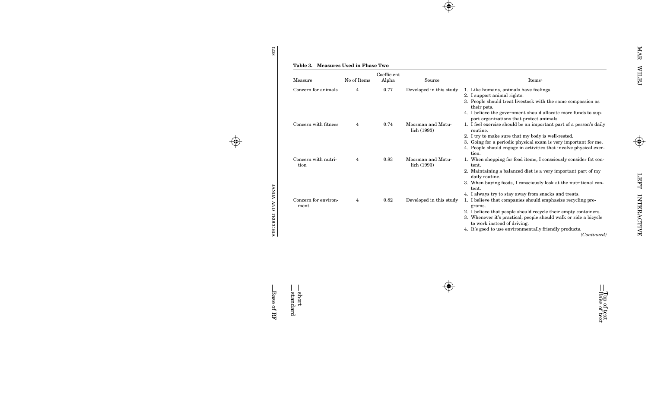| Measure                      | No of Items | Coefficient<br>Alpha | Source                             | Itemsa                                                                                                                                                                                                                                                                                                               |
|------------------------------|-------------|----------------------|------------------------------------|----------------------------------------------------------------------------------------------------------------------------------------------------------------------------------------------------------------------------------------------------------------------------------------------------------------------|
| Concern for animals          | 4           | 0.77                 | Developed in this study            | 1. Like humans, animals have feelings.<br>2. I support animal rights.<br>3. People should treat livestock with the same compassion as<br>their pets.<br>4. I believe the government should allocate more funds to sup-<br>port organizations that protect animals.                                                   |
| Concern with fitness         | 4           | 0.74                 | Moorman and Matu-<br>lich $(1993)$ | 1. I feel exercise should be an important part of a person's daily<br>routine.<br>2. I try to make sure that my body is well-rested.<br>3. Going for a periodic physical exam is very important for me.<br>4. People should engage in activities that involve physical exer-<br>tion.                                |
| Concern with nutri-<br>tion  | 4           | 0.83                 | Moorman and Matu-<br>lich (1993)   | 1. When shopping for food items, I consciously consider fat con-<br>tent.<br>2. Maintaining a balanced diet is a very important part of my<br>daily routine.<br>3. When buying foods, I consciously look at the nutritional con-<br>tent.<br>4. I always try to stay away from snacks and treats.                    |
| Concern for environ-<br>ment | 4           | 0.82                 | Developed in this study            | 1. I believe that companies should emphasize recycling pro-<br>grams.<br>2. I believe that people should recycle their empty containers.<br>3. Whenever it's practical, people should walk or ride a bicycle<br>to work instead of driving.<br>4. It's good to use environmentally friendly products.<br>(Continued) |

#### **Table 3. Measures Used in Phase Two**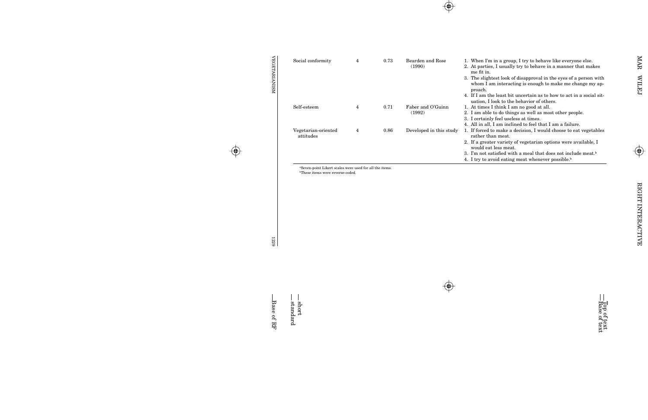| Social conformity                | 4 | 0.73 | Bearden and Rose<br>(1990)  | 1. When I'm in a group, I try to behave like everyone else.<br>2. At parties, I usually try to behave in a manner that makes<br>me fit in.<br>3. The slightest look of disapproval in the eyes of a person with<br>whom I am interacting is enough to make me change my ap-<br>proach. |
|----------------------------------|---|------|-----------------------------|----------------------------------------------------------------------------------------------------------------------------------------------------------------------------------------------------------------------------------------------------------------------------------------|
|                                  |   |      |                             | 4. If I am the least bit uncertain as to how to act in a social sit-<br>uation, I look to the behavior of others.                                                                                                                                                                      |
| Self-esteem                      | 4 | 0.71 | Faber and O'Guinn<br>(1992) | 1. At times I think I am no good at all.<br>2. I am able to do things as well as most other people.<br>3. I certainly feel useless at times.<br>4. All in all, I am inclined to feel that I am a failure.                                                                              |
| Vegetarian-oriented<br>attitudes | 4 | 0.86 | Developed in this study     | 1. If forced to make a decision, I would choose to eat vegetables<br>rather than meat.<br>2. If a greater variety of vegetarian options were available, I<br>would eat less meat.<br>3. I'm not satisfied with a meal that does not include meat. <sup>b</sup>                         |
|                                  |   |      |                             | 4. I try to avoid eating meat whenever possible. <sup>b</sup>                                                                                                                                                                                                                          |

aSeven-point Likert scales were used for all the items. bThese items were reverse-coded.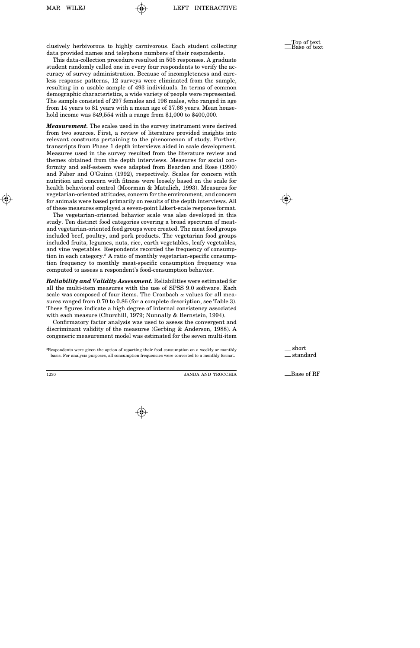clusively herbivorous to highly carnivorous. Each student collecting data provided names and telephone numbers of their respondents.

This data-collection procedure resulted in 505 responses. A graduate student randomly called one in every four respondents to verify the accuracy of survey administration. Because of incompleteness and careless response patterns, 12 surveys were eliminated from the sample, resulting in a usable sample of 493 individuals. In terms of common demographic characteristics, a wide variety of people were represented. The sample consisted of 297 females and 196 males, who ranged in age from 14 years to 81 years with a mean age of 37.66 years. Mean household income was \$49,554 with a range from \$1,000 to \$400,000.

*Measurement.* The scales used in the survey instrument were derived from two sources. First, a review of literature provided insights into relevant constructs pertaining to the phenomenon of study. Further, transcripts from Phase 1 depth interviews aided in scale development. Measures used in the survey resulted from the literature review and themes obtained from the depth interviews. Measures for social conformity and self-esteem were adapted from Bearden and Rose (1990) and Faber and O'Guinn (1992), respectively. Scales for concern with nutrition and concern with fitness were loosely based on the scale for health behavioral control (Moorman & Matulich, 1993). Measures for vegetarian-oriented attitudes, concern for the environment, and concern for animals were based primarily on results of the depth interviews. All of these measures employed a seven-point Likert-scale response format.

The vegetarian-oriented behavior scale was also developed in this study. Ten distinct food categories covering a broad spectrum of meatand vegetarian-oriented food groups were created. The meat food groups included beef, poultry, and pork products. The vegetarian food groups included fruits, legumes, nuts, rice, earth vegetables, leafy vegetables, and vine vegetables. Respondents recorded the frequency of consumption in each category.3 A ratio of monthly vegetarian-specific consumption frequency to monthly meat-specific consumption frequency was computed to assess a respondent's food-consumption behavior.

*Reliability and Validity Assessment.* Reliabilities were estimated for all the multi-item measures with the use of SPSS 9.0 software. Each scale was composed of four items. The Cronbach  $\alpha$  values for all measures ranged from 0.70 to 0.86 (for a complete description, see Table 3). These figures indicate a high degree of internal consistency associated with each measure (Churchill, 1979; Nunnally & Bernstein, 1994).

Confirmatory factor analysis was used to assess the convergent and discriminant validity of the measures (Gerbing& Anderson, 1988). A congeneric measurement model was estimated for the seven multi-item

<sup>3</sup>Respondents were given the option of reporting their food consumption on a weekly or monthly basis. For analysis purposes, all consumption frequencies were converted to a monthly format.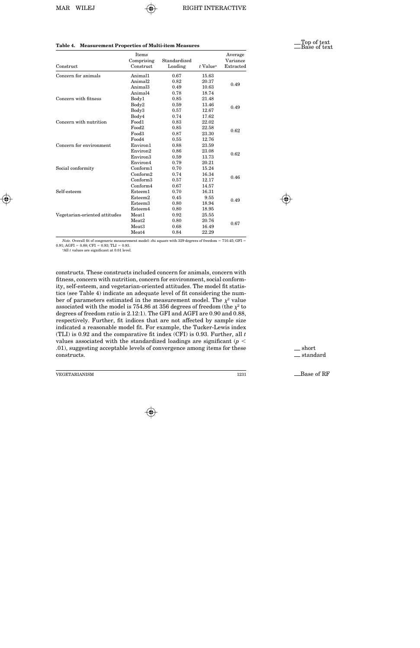| Construct                     | Items<br>Comprising<br>Construct | Standardized<br>Loading | $t$ Value <sup>a</sup> | Average<br>Variance<br>Extracted |
|-------------------------------|----------------------------------|-------------------------|------------------------|----------------------------------|
| Concern for animals           | Animal1                          | 0.67                    | 15.63                  |                                  |
|                               | Animal2                          | 0.82                    | 20.37                  |                                  |
|                               | Animal <sub>3</sub>              | 0.49                    | 10.63                  | 0.49                             |
|                               | Animal4                          | 0.78                    | 18.74                  |                                  |
| Concern with fitness          | Body1                            | 0.85                    | 21.48                  |                                  |
|                               | Body2                            | 0.59                    | 13.46                  |                                  |
|                               | Body3                            | 0.57                    | 12.67                  | 0.49                             |
|                               | Body4                            | 0.74                    | 17.62                  |                                  |
| Concern with nutrition        | Food1                            | 0.83                    | 22.02                  |                                  |
|                               | Food2                            | 0.85                    | 22.58                  |                                  |
|                               | Food3                            | 0.87                    | 23.30                  | 0.62                             |
|                               | Food4                            | 0.55                    | 12.76                  |                                  |
| Concern for environment       | Environ1                         | 0.88                    | 23.59                  |                                  |
|                               | Environ2                         | 0.86                    | 23.08                  |                                  |
|                               | Environ3                         | 0.59                    | 13.73                  | 0.62                             |
|                               | Environ4                         | 0.79                    | 20.21                  |                                  |
| Social conformity             | Conform1                         | 0.70                    | 15.24                  |                                  |
|                               | Conform2                         | 0.74                    | 16.34                  |                                  |
|                               | Conform3                         | 0.57                    | 12.17                  | 0.46                             |
|                               | Conform4                         | 0.67                    | 14.57                  |                                  |
| Self-esteem                   | Esteem1                          | 0.70                    | 16.31                  |                                  |
|                               | Esteem2                          | 0.45                    | 9.55                   | 0.49                             |
|                               | Esteem <sub>3</sub>              | 0.80                    | 18.94                  |                                  |
|                               | Esteem4                          | 0.80                    | 18.95                  |                                  |
| Vegetarian-oriented attitudes | Meat1                            | 0.92                    | 25.55                  |                                  |
|                               | Meat2                            | 0.80                    | 20.76                  |                                  |
|                               | Meat <sub>3</sub>                | 0.68                    | 16.49                  | 0.67                             |
|                               | Meat4                            | 0.84                    | 22.29                  |                                  |

**Table 4. Measurement Properties of Multi-item Measures**

*Note.* Overall fit of congeneric measurement model: chi square with 329 degrees of freedom  $= 710.45$ ; GFI  $=$ 0.91; AGFI =  $0.88$ ; CFI =  $0.93$ ; TLI =  $0.93$ .

<sup>a</sup>All *t* values are significant at 0.01 level.

constructs. These constructs included concern for animals, concern with fitness, concern with nutrition, concern for environment, social conformity, self-esteem, and vegetarian-oriented attitudes. The model fit statistics (see Table 4) indicate an adequate level of fit considering the number of parameters estimated in the measurement model. The  $\chi^2$  value associated with the model is 754.86 at 356 degrees of freedom (the  $\chi^2$  to degrees of freedom ratio is 2.12:1). The GFI and AGFI are 0.90 and 0.88, respectively. Further, fit indices that are not affected by sample size indicated a reasonable model fit. For example, the Tucker-Lewis index (TLI) is 0.92 and the comparative fit index (CFI) is 0.93. Further, all *t* values associated with the standardized loadings are significant ( $p<$ .01), suggesting acceptable levels of convergence among items for these constructs.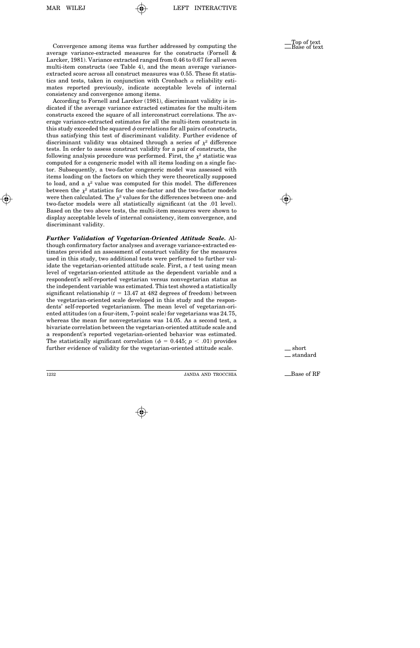Convergence among items was further addressed by computing the average variance-extracted measures for the constructs (Fornell & Larcker, 1981). Variance extracted ranged from 0.46 to 0.67 for all seven multi-item constructs (see Table 4), and the mean average varianceextracted score across all construct measures was 0.55. These fit statistics and tests, taken in conjunction with Cronbach  $\alpha$  reliability estimates reported previously, indicate acceptable levels of internal consistency and convergence among items.

According to Fornell and Larcker (1981), discriminant validity is indicated if the average variance extracted estimates for the multi-item constructs exceed the square of all interconstruct correlations. The average variance-extracted estimates for all the multi-item constructs in this study exceeded the squared  $\phi$  correlations for all pairs of constructs, thus satisfying this test of discriminant validity. Further evidence of discriminant validity was obtained through a series of  $\chi^2$  difference tests. In order to assess construct validity for a pair of constructs, the following analysis procedure was performed. First, the  $\chi^2$  statistic was computed for a congeneric model with all items loading on a single factor. Subsequently, a two-factor congeneric model was assessed with items loading on the factors on which they were theoretically supposed to load, and a  $\chi^2$  value was computed for this model. The differences between the  $\chi^2$  statistics for the one-factor and the two-factor models were then calculated. The  $\chi^2$  values for the differences between one- and two-factor models were all statistically significant (at the .01 level). Based on the two above tests, the multi-item measures were shown to display acceptable levels of internal consistency, item convergence, and discriminant validity.

*Further Validation of Vegetarian-Oriented Attitude Scale.* Although confirmatory factor analyses and average variance-extracted estimates provided an assessment of construct validity for the measures used in this study, two additional tests were performed to further validate the vegetarian-oriented attitude scale. First, a *t* test usingmean level of vegetarian-oriented attitude as the dependent variable and a respondent's self-reported vegetarian versus nonvegetarian status as the independent variable was estimated. This test showed a statistically significant relationship ( $t = 13.47$  at 482 degrees of freedom) between the vegetarian-oriented scale developed in this study and the respondents' self-reported vegetarianism. The mean level of vegetarian-oriented attitudes (on a four-item, 7-point scale) for vegetarians was 24.75, whereas the mean for nonvegetarians was 14.05. As a second test, a bivariate correlation between the vegetarian-oriented attitude scale and a respondent's reported vegetarian-oriented behavior was estimated. The statistically significant correlation ( $\phi = 0.445$ ;  $p < .01$ ) provides further evidence of validity for the vegetarian-oriented attitude scale.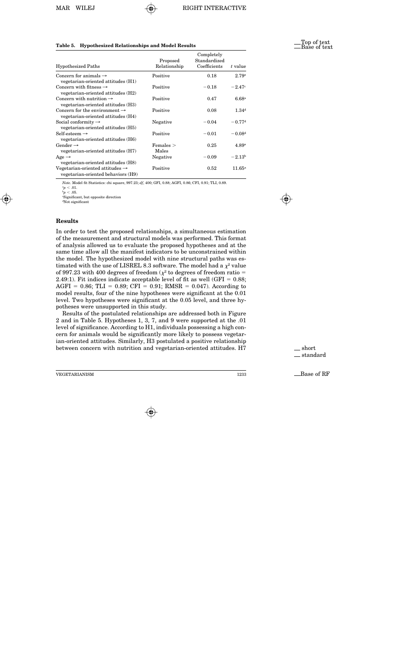| <b>Hypothesized Paths</b>                                                         | Proposed<br>Relationship | Completely<br>Standardized<br>Coefficients | t value           |
|-----------------------------------------------------------------------------------|--------------------------|--------------------------------------------|-------------------|
| Concern for animals $\rightarrow$<br>vegetarian-oriented attitudes (H1)           | Positive                 | 0.18                                       | 2.79 <sup>a</sup> |
| Concern with fitness $\rightarrow$<br>vegetarian-oriented attitudes (H2)          | Positive                 | $-0.18$                                    | $-2.47c$          |
| Concern with nutrition $\rightarrow$<br>vegetarian-oriented attitudes (H3)        | Positive                 | 0.47                                       | 6.68 <sup>a</sup> |
| Concern for the environment $\rightarrow$<br>vegetarian-oriented attitudes (H4)   | Positive                 | 0.08                                       | 1.34 <sup>d</sup> |
| Social conformity $\rightarrow$<br>vegetarian-oriented attitudes (H5)             | Negative                 | $-0.04$                                    | $-0.77d$          |
| Self-esteem $\rightarrow$<br>vegetarian-oriented attitudes (H6)                   | Positive                 | $-0.01$                                    | $-0.08d$          |
| Gender $\rightarrow$<br>vegetarian-oriented attitudes (H7)                        | $F$ emales $>$<br>Males  | 0.25                                       | 4.89a             |
| Age $\rightarrow$<br>vegetarian-oriented attitudes (H8)                           | Negative                 | $-0.09$                                    | $-2.13b$          |
| Vegetarian-oriented attitudes $\rightarrow$<br>vegetarian-oriented behaviors (H9) | Positive                 | 0.52                                       | $11.65^{\rm a}$   |

#### **Table 5. Hypothesized Relationships and Model Results**

*Note.* Model fit Statistics: chi square, 997.23; *df*, 400; GFI, 0.88; AGFI, 0.86; CFI, 0.91; TLI, 0.89.

 $ap < .01.$ 

 $bp < .05.$ 

c Significant, but opposite direction dNot significant

# **Results**

In order to test the proposed relationships, a simultaneous estimation of the measurement and structural models was performed. This format of analysis allowed us to evaluate the proposed hypotheses and at the same time allow all the manifest indicators to be unconstrained within the model. The hypothesized model with nine structural paths was estimated with the use of LISREL 8.3 software. The model had a  $\chi^2$  value of 997.23 with 400 degrees of freedom ( $\chi^2$  to degrees of freedom ratio = 2.49:1). Fit indices indicate acceptable level of fit as well (GFI  $= 0.88$ ; AGFI = 0.86; TLI = 0.89; CFI = 0.91; RMSR = 0.047). According to model results, four of the nine hypotheses were significant at the 0.01 level. Two hypotheses were significant at the 0.05 level, and three hypotheses were unsupported in this study.

Results of the postulated relationships are addressed both in Figure 2 and in Table 5. Hypotheses 1, 3, 7, and 9 were supported at the .01 level of significance. According to H1, individuals possessing a high concern for animals would be significantly more likely to possess vegetarian-oriented attitudes. Similarly, H3 postulated a positive relationship between concern with nutrition and vegetarian-oriented attitudes. H7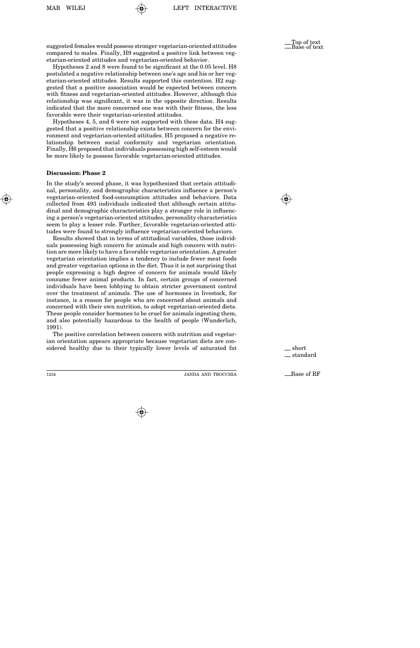suggested females would possess stronger vegetarian-oriented attitudes compared to males. Finally, H9 suggested a positive link between vegetarian-oriented attitudes and vegetarian-oriented behavior.

Hypotheses 2 and 8 were found to be significant at the 0.05 level. H8 postulated a negative relationship between one's age and his or her vegetarian-oriented attitudes. Results supported this contention. H2 suggested that a positive association would be expected between concern with fitness and vegetarian-oriented attitudes. However, although this relationship was significant, it was in the opposite direction. Results indicated that the more concerned one was with their fitness, the less favorable were their vegetarian-oriented attitudes.

Hypotheses 4, 5, and 6 were not supported with these data. H4 suggested that a positive relationship exists between concern for the environment and vegetarian-oriented attitudes. H5 proposed a negative relationship between social conformity and vegetarian orientation. Finally, H6 proposed that individuals possessinghigh self-esteem would be more likely to possess favorable vegetarian-oriented attitudes.

### **Discussion: Phase 2**

In the study's second phase, it was hypothesized that certain attitudinal, personality, and demographic characteristics influence a person's vegetarian-oriented food-consumption attitudes and behaviors. Data collected from 493 individuals indicated that although certain attitudinal and demographic characteristics play a stronger role in influencing a person's vegetarian-oriented attitudes, personality characteristics seem to play a lesser role. Further, favorable vegetarian-oriented attitudes were found to strongly influence vegetarian-oriented behaviors.

Results showed that in terms of attitudinal variables, those individuals possessing high concern for animals and high concern with nutrition are more likely to have a favorable vegetarian orientation. A greater vegetarian orientation implies a tendency to include fewer meat foods and greater vegetarian options in the diet. Thus it is not surprising that people expressing a high degree of concern for animals would likely consume fewer animal products. In fact, certain groups of concerned individuals have been lobbying to obtain stricter government control over the treatment of animals. The use of hormones in livestock, for instance, is a reason for people who are concerned about animals and concerned with their own nutrition, to adopt vegetarian-oriented diets. These people consider hormones to be cruel for animals ingesting them, and also potentially hazardous to the health of people (Wunderlich, 1991).

The positive correlation between concern with nutrition and vegetarian orientation appears appropriate because vegetarian diets are considered healthy due to their typically lower levels of saturated fat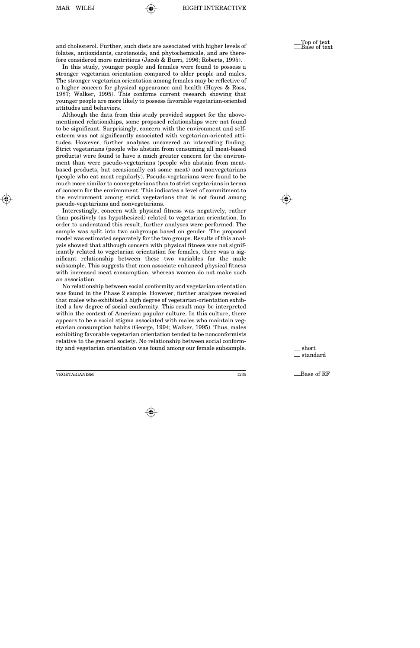and cholesterol. Further, such diets are associated with higher levels of folates, antioxidants, carotenoids, and phytochemicals, and are therefore considered more nutritious (Jacob & Burri, 1996; Roberts, 1995).

In this study, younger people and females were found to possess a stronger vegetarian orientation compared to older people and males. The stronger vegetarian orientation among females may be reflective of a higher concern for physical appearance and health (Hayes & Ross, 1987; Walker, 1995). This confirms current research showing that younger people are more likely to possess favorable vegetarian-oriented attitudes and behaviors.

Although the data from this study provided support for the abovementioned relationships, some proposed relationships were not found to be significant. Surprisingly, concern with the environment and selfesteem was not significantly associated with vegetarian-oriented attitudes. However, further analyses uncovered an interesting finding. Strict vegetarians (people who abstain from consuming all meat-based products) were found to have a much greater concern for the environment than were pseudo-vegetarians (people who abstain from meatbased products, but occasionally eat some meat) and nonvegetarians (people who eat meat regularly). Pseudo-vegetarians were found to be much more similar to nonvegetarians than to strict vegetarians in terms of concern for the environment. This indicates a level of commitment to the environment among strict vegetarians that is not found among pseudo-vegetarians and nonvegetarians.

Interestingly, concern with physical fitness was negatively, rather than positively (as hypothesized) related to vegetarian orientation. In order to understand this result, further analyses were performed. The sample was split into two subgroups based on gender. The proposed model was estimated separately for the two groups. Results of this analysis showed that although concern with physical fitness was not significantly related to vegetarian orientation for females, there was a significant relationship between these two variables for the male subsample. This suggests that men associate enhanced physical fitness with increased meat consumption, whereas women do not make such an association.

No relationship between social conformity and vegetarian orientation was found in the Phase 2 sample. However, further analyses revealed that males who exhibited a high degree of vegetarian-orientation exhibited a low degree of social conformity. This result may be interpreted within the context of American popular culture. In this culture, there appears to be a social stigma associated with males who maintain vegetarian consumption habits (George, 1994; Walker, 1995). Thus, males exhibiting favorable vegetarian orientation tended to be nonconformists relative to the general society. No relationship between social conformity and vegetarian orientation was found among our female subsample.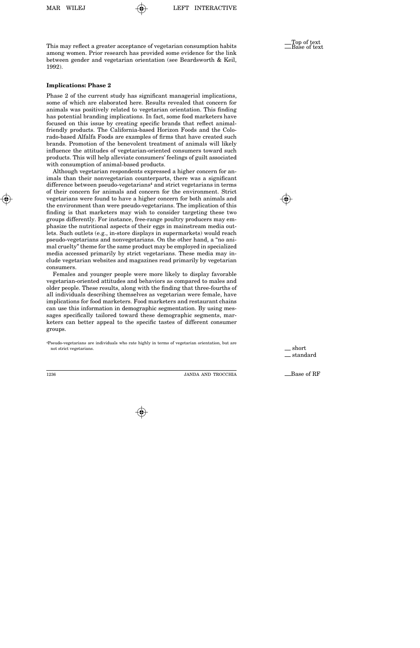This may reflect a greater acceptance of vegetarian consumption habits among women. Prior research has provided some evidence for the link between gender and vegetarian orientation (see Beardsworth & Keil, 1992).

## **Implications: Phase 2**

Phase 2 of the current study has significant managerial implications, some of which are elaborated here. Results revealed that concern for animals was positively related to vegetarian orientation. This finding has potential branding implications. In fact, some food marketers have focused on this issue by creating specific brands that reflect animalfriendly products. The California-based Horizon Foods and the Colorado-based Alfalfa Foods are examples of firms that have created such brands. Promotion of the benevolent treatment of animals will likely influence the attitudes of vegetarian-oriented consumers toward such products. This will help alleviate consumers' feelings of guilt associated with consumption of animal-based products.

Although vegetarian respondents expressed a higher concern for animals than their nonvegetarian counterparts, there was a significant  $d$ ifference between pseudo-vegetarians<sup>4</sup> and strict vegetarians in terms of their concern for animals and concern for the environment. Strict vegetarians were found to have a higher concern for both animals and the environment than were pseudo-vegetarians. The implication of this finding is that marketers may wish to consider targeting these two groups differently. For instance, free-range poultry producers may emphasize the nutritional aspects of their eggs in mainstream media outlets. Such outlets (e.g., in-store displays in supermarkets) would reach pseudo-vegetarians and nonvegetarians. On the other hand, a "no animal cruelty" theme for the same product may be employed in specialized media accessed primarily by strict vegetarians. These media may include vegetarian websites and magazines read primarily by vegetarian consumers.

Females and younger people were more likely to display favorable vegetarian-oriented attitudes and behaviors as compared to males and older people. These results, along with the finding that three-fourths of all individuals describing themselves as vegetarian were female, have implications for food marketers. Food marketers and restaurant chains can use this information in demographic segmentation. By using messages specifically tailored toward these demographic segments, marketers can better appeal to the specific tastes of different consumer groups.

<sup>4</sup>Pseudo-vegetarians are individuals who rate highly in terms of vegetarian orientation, but are not strict vegetarians.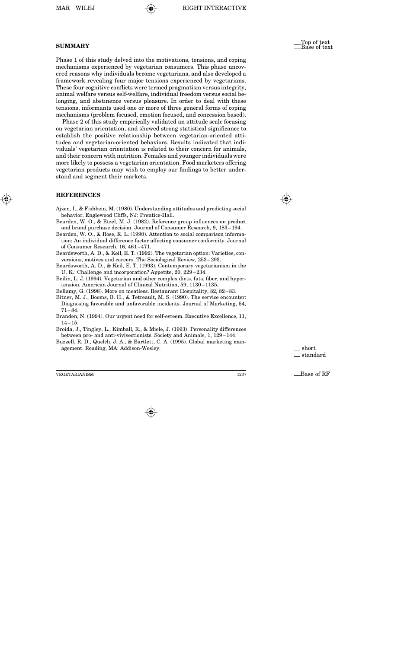#### **SUMMARY**

Phase 1 of this study delved into the motivations, tensions, and coping mechanisms experienced by vegetarian consumers. This phase uncovered reasons why individuals become vegetarians, and also developed a framework revealing four major tensions experienced by vegetarians. These four cognitive conflicts were termed pragmatism versus integrity, animal welfare versus self-welfare, individual freedom versus social belonging, and abstinence versus pleasure. In order to deal with these tensions, informants used one or more of three general forms of coping mechanisms (problem focused, emotion focused, and concession based).

Phase 2 of this study empirically validated an attitude scale focusing on vegetarian orientation, and showed strong statistical significance to establish the positive relationship between vegetarian-oriented attitudes and vegetarian-oriented behaviors. Results indicated that individuals' vegetarian orientation is related to their concern for animals, and their concern with nutrition. Females and younger individuals were more likely to possess a vegetarian orientation. Food marketers offering vegetarian products may wish to employ our findings to better understand and segment their markets.

#### **REFERENCES**

- Ajzen, I., & Fishbein, M. (1980). Understanding attitudes and predicting social behavior. Englewood Cliffs, NJ: Prentice-Hall.
- Bearden, W. O., & Etzel, M. J. (1982). Reference group influences on product and brand purchase decision. Journal of Consumer Research, 9, 183 – 194.
- Bearden, W. O., & Rose, R. L. (1990). Attention to social comparison information: An individual difference factor affecting consumer conformity. Journal of Consumer Research, 16, 461 – 471.
- Beardsworth, A. D., & Keil, E. T. (1992). The vegetarian option: Varieties, conversions, motives and careers. The Sociological Review, 253 – 293.
- Beardsworth, A. D., & Keil, E. T. (1993). Contemporary vegetarianism in the U. K.: Challenge and incorporation? Appetite, 20, 229 – 234.
- Beilin, L. J. (1994). Vegetarian and other complex diets, fats, fiber, and hypertension. American Journal of Clinical Nutrition, 59, 1130 – 1135.
- Bellamy, G. (1998). More on meatless. Restaurant Hospitality, 82, 82 83.
- Bitner, M. J., Booms, B. H., & Tetreault, M. S. (1990). The service encounter: Diagnosing favorable and unfavorable incidents. Journal of Marketing, 54,  $71 - 84.$
- Branden, N. (1994). Our urgent need for self-esteem. Executive Excellence, 11,  $14 - 15.$
- Broida, J., Tingley, L., Kimball, R., & Miele, J. (1993). Personality differences between pro- and anti-vivisectionists. Society and Animals, 1, 129 – 144.
- Buzzell, R. D., Quelch, J. A., & Bartlett, C. A. (1995). Global marketing management. Reading, MA: Addison-Wesley.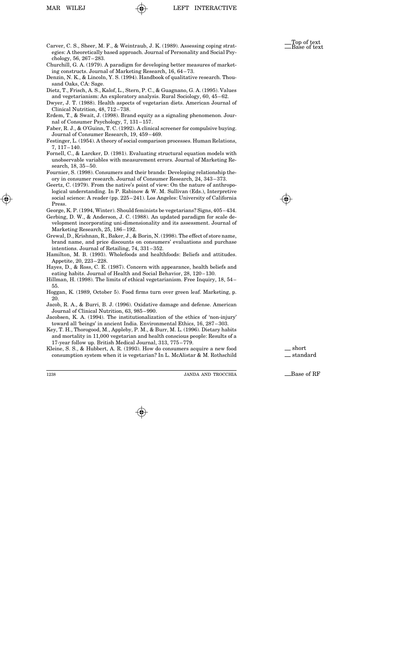- Carver, C. S., Sheer, M. F., & Weintraub, J. K.  $(1989)$ . Assessing coping strategies: A theoretically based approach. Journal of Personality and Social Psychology, 56, 267 – 283.
- Churchill, G. A. (1979). A paradigm for developing better measures of marketing constructs. Journal of Marketing Research, 16, 64–73.
- Denzin, N. K., & Lincoln, Y. S. (1994). Handbook of qualitative research. Thousand Oaks, CA: Sage.
- Dietz, T., Frisch, A. S., Kalof, L., Stern, P. C., & Guagnano, G. A. (1995). Values and vegetarianism: An exploratory analysis. Rural Sociology, 60, 45 – 62.
- Dwyer, J. T. (1988). Health aspects of vegetarian diets. American Journal of Clinical Nutrition, 48, 712 – 738.
- Erdem, T., & Swait, J. (1998). Brand equity as a signaling phenomenon. Journal of Consumer Psychology, 7, 131-157.
- Faber, R. J., & O'Guinn, T. C. (1992). A clinical screener for compulsive buying. Journal of Consumer Research, 19, 459 – 469.
- Festinger, L. (1954). A theory of social comparison processes. Human Relations, 7, 117 – 140.
- Fornell, C., & Larcker, D. (1981). Evaluating structural equation models with unobservable variables with measurement errors. Journal of Marketing Research, 18, 35 – 50.
- Fournier, S. (1998). Consumers and their brands: Developing relationship theory in consumer research. Journal of Consumer Research, 24, 343 – 373.
- Geertz, C. (1979). From the native's point of view: On the nature of anthropological understanding. In P. Rabinow & W. M. Sullivan (Eds.), Interpretive social science: A reader (pp. 225 – 241). Los Angeles: University of California Press.
- George, K. P. (1994, Winter). Should feminists be vegetarians? Signs, 405 434.
- Gerbing, D. W., & Anderson, J. C. (1988). An updated paradigm for scale development incorporating uni-dimensionality and its assessment. Journal of Marketing Research, 25, 186-192.
- Grewal, D., Krishnan, R., Baker, J., & Borin, N. (1998). The effect of store name, brand name, and price discounts on consumers' evaluations and purchase intentions. Journal of Retailing, 74, 331 – 352.
- Hamilton, M. B. (1993). Wholefoods and healthfoods: Beliefs and attitudes. Appetite, 20, 223 – 228.
- Hayes, D., & Ross, C. E. (1987). Concern with appearance, health beliefs and eating habits. Journal of Health and Social Behavior, 28, 120 – 130.
- Hillman, H. (1998). The limits of ethical vegetarianism. Free Inquiry, 18, 54 55.
- Hoggan, K. (1989, October 5). Food firms turn over green leaf. Marketing, p. 20.
- Jacob, R. A., & Burri, B. J. (1996). Oxidative damage and defense. American Journal of Clinical Nutrition, 63, 985 – 990.
- Jacobsen, K. A. (1994). The institutionalization of the ethics of 'non-injury' toward all 'beings' in ancient India. Environmental Ethics, 16, 287 – 303.
- Key, T. H., Thorogood, M., Appleby, P. M., & Burr, M. L. (1996). Dietary habits and mortality in 11,000 vegetarian and health conscious people: Results of a 17-year follow up. British Medical Journal, 313, 775 – 779.
- Kleine, S. S., & Hubbert, A. R. (1993). How do consumers acquire a new food consumption system when it is vegetarian? In L. McAlistar & M. Rothschild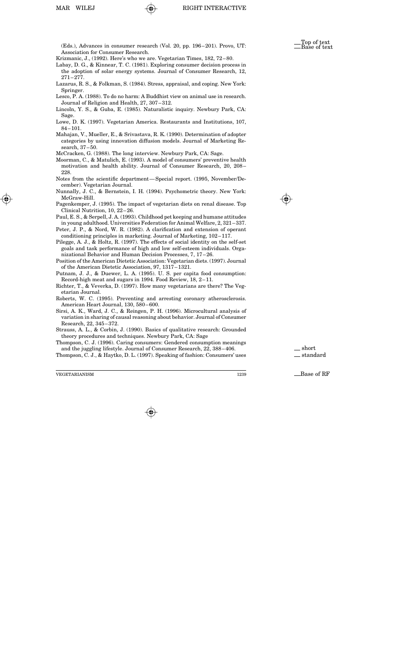(Eds.), Advances in consumer research (Vol. 20, pp. 196 – 201). Provo, UT: Association for Consumer Research.

- Krizmanic, J., (1992). Here's who we are. Vegetarian Times, 182, 72 80.
- Labay, D. G., & Kinnear, T. C. (1981). Exploring consumer decision process in the adoption of solar energy systems. Journal of Consumer Research, 12,  $271 - 277.$
- Lazarus, R. S., & Folkman, S. (1984). Stress, appraisal, and coping. New York: Springer.
- Lesco, P. A. (1988). To do no harm: A Buddhist view on animal use in research. Journal of Religion and Health, 27, 307 – 312.
- Lincoln, Y. S., & Guba, E. (1985). Naturalistic inquiry. Newbury Park, CA: Sage.
- Lowe, D. K. (1997). Vegetarian America. Restaurants and Institutions, 107, 84 – 101.
- Mahajan, V., Mueller, E., & Srivastava, R. K. (1990). Determination of adopter categories by using innovation diffusion models. Journal of Marketing Research, 37 – 50.
- McCracken, G. (1988). The long interview. Newbury Park, CA: Sage.
- Moorman, C., & Matulich, E. (1993). A model of consumers' preventive health motivation and health ability. Journal of Consumer Research, 20, 208 – 228.
- Notes from the scientific department—Special report. (1995, November/December). Vegetarian Journal.
- Nunnally, J. C., & Bernstein, I. H. (1994). Psychometric theory. New York: McGraw-Hill.
- Pagenkemper, J. (1995). The impact of vegetarian diets on renal disease. Top Clinical Nutrition, 10, 22 – 26.
- Paul, E. S., & Serpell, J. A. (1993). Childhood pet keepingand humane attitudes in young adulthood. Universities Federation for Animal Welfare, 2, 321–337.
- Peter, J. P., & Nord, W. R. (1982). A clarification and extension of operant conditioning principles in marketing. Journal of Marketing, 102-117.
- Pilegge, A. J., & Holtz, R. (1997). The effects of social identity on the self-set goals and task performance of high and low self-esteem individuals. Organizational Behavior and Human Decision Processes, 7, 17 – 26.
- Position of the American Dietetic Association: Vegetarian diets. (1997). Journal of the American Dietetic Association, 97, 1317 – 1321.
- Putnam, J. J., & Duewer, L. A. (1995). U. S. per capita food consumption: Record-high meat and sugars in 1994. Food Review, 18, 2–11.
- Richter, T., & Veverka, D. (1997). How many vegetarians are there? The Vegetarian Journal.
- Roberts, W. C. (1995). Preventing and arresting coronary atherosclerosis. American Heart Journal, 130, 580 – 600.
- Sirsi, A. K., Ward, J. C., & Reingen, P. H. (1996). Microcultural analysis of variation in sharingof causal reasoningabout behavior. Journal of Consumer Research, 22, 345 – 372.
- Strauss, A. L., & Corbin, J. (1990). Basics of qualitative research: Grounded theory procedures and techniques. Newbury Park, CA: Sage
- Thompson, C. J. (1996). Caring consumers: Gendered consumption meanings and the juggling lifestyle. Journal of Consumer Research, 22, 388 – 406.
- Thompson, C. J., & Haytko, D. L. (1997). Speaking of fashion: Consumers' uses